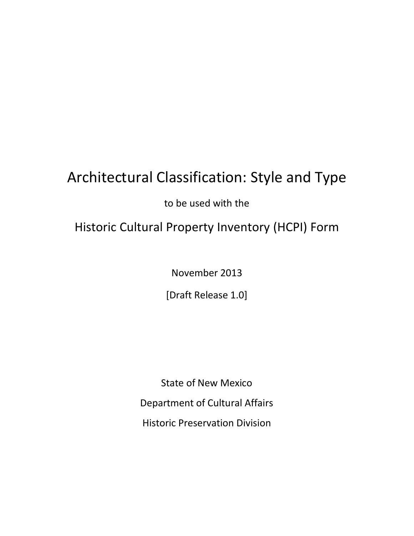# Architectural Classification: Style and Type

to be used with the

# Historic Cultural Property Inventory (HCPI) Form

November 2013

[Draft Release 1.0]

State of New Mexico Department of Cultural Affairs Historic Preservation Division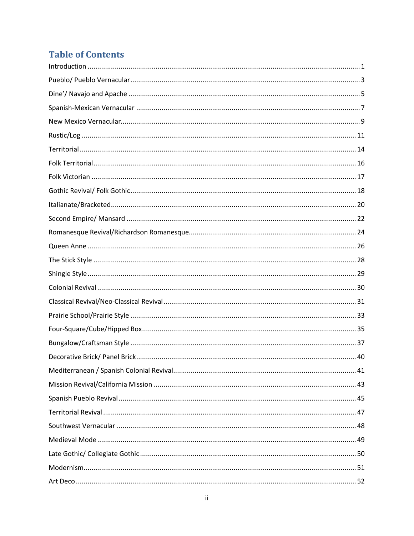# **Table of Contents**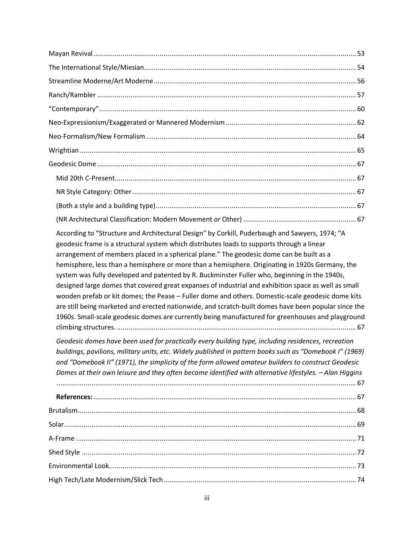| According to "Structure and Architectural Design" by Corkill, Puderbaugh and Sawyers, 1974; "A<br>geodesic frame is a structural system which distributes loads to supports through a linear<br>arrangement of members placed in a spherical plane." The geodesic dome can be built as a<br>hemisphere, less than a hemisphere or more than a hemisphere. Originating in 1920s Germany, the<br>system was fully developed and patented by R. Buckminster Fuller who, beginning in the 1940s,<br>designed large domes that covered great expanses of industrial and exhibition space as well as small<br>wooden prefab or kit domes; the Pease - Fuller dome and others. Domestic-scale geodesic dome kits<br>are still being marketed and erected nationwide, and scratch-built domes have been popular since the<br>1960s. Small-scale geodesic domes are currently being manufactured for greenhouses and playground |
|------------------------------------------------------------------------------------------------------------------------------------------------------------------------------------------------------------------------------------------------------------------------------------------------------------------------------------------------------------------------------------------------------------------------------------------------------------------------------------------------------------------------------------------------------------------------------------------------------------------------------------------------------------------------------------------------------------------------------------------------------------------------------------------------------------------------------------------------------------------------------------------------------------------------|
| Geodesic domes have been used for practically every building type, including residences, recreation<br>buildings, pavilions, military units, etc. Widely published in pattern books such as "Domebook I" (1969)<br>and "Domebook II" (1971), the simplicity of the form allowed amateur builders to construct Geodesic<br>Domes at their own leisure and they often became identified with alternative lifestyles. - Alan Higgins                                                                                                                                                                                                                                                                                                                                                                                                                                                                                      |
|                                                                                                                                                                                                                                                                                                                                                                                                                                                                                                                                                                                                                                                                                                                                                                                                                                                                                                                        |
|                                                                                                                                                                                                                                                                                                                                                                                                                                                                                                                                                                                                                                                                                                                                                                                                                                                                                                                        |
|                                                                                                                                                                                                                                                                                                                                                                                                                                                                                                                                                                                                                                                                                                                                                                                                                                                                                                                        |
|                                                                                                                                                                                                                                                                                                                                                                                                                                                                                                                                                                                                                                                                                                                                                                                                                                                                                                                        |
|                                                                                                                                                                                                                                                                                                                                                                                                                                                                                                                                                                                                                                                                                                                                                                                                                                                                                                                        |
|                                                                                                                                                                                                                                                                                                                                                                                                                                                                                                                                                                                                                                                                                                                                                                                                                                                                                                                        |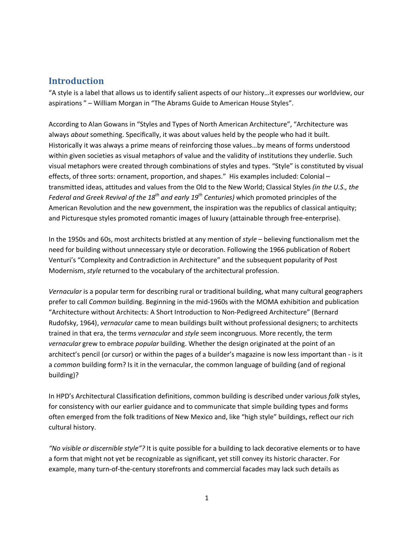# **Introduction**

"A style is a label that allows us to identify salient aspects of our history…it expresses our worldview, our aspirations " – William Morgan in "The Abrams Guide to American House Styles".

According to Alan Gowans in "Styles and Types of North American Architecture", "Architecture was always *about* something. Specifically, it was about values held by the people who had it built. Historically it was always a prime means of reinforcing those values…by means of forms understood within given societies as visual metaphors of value and the validity of institutions they underlie. Such visual metaphors were created through combinations of styles and types. "Style" is constituted by visual effects, of three sorts: ornament, proportion, and shapes." His examples included: Colonial – transmitted ideas, attitudes and values from the Old to the New World; Classical Styles *(in the U.S., the Federal and Greek Revival of the 18th and early 19th Centuries)* which promoted principles of the American Revolution and the new government, the inspiration was the republics of classical antiquity; and Picturesque styles promoted romantic images of luxury (attainable through free-enterprise).

In the 1950s and 60s, most architects bristled at any mention of *style* – believing functionalism met the need for building without unnecessary style or decoration. Following the 1966 publication of Robert Venturi's "Complexity and Contradiction in Architecture" and the subsequent popularity of Post Modernism, *style* returned to the vocabulary of the architectural profession.

*Vernacular* is a popular term for describing rural or traditional building, what many cultural geographers prefer to call *Common* building. Beginning in the mid-1960s with the MOMA exhibition and publication "Architecture without Architects: A Short Introduction to Non-Pedigreed Architecture" (Bernard Rudofsky, 1964), *vernacular* came to mean buildings built without professional designers; to architects trained in that era, the terms *vernacular* and *style* seem incongruous. More recently, the term *vernacular* grew to embrace *popular* building. Whether the design originated at the point of an architect's pencil (or cursor) or within the pages of a builder's magazine is now less important than - is it a *common* building form? Is it in the vernacular, the common language of building (and of regional building)?

In HPD's Architectural Classification definitions, common building is described under various *folk* styles, for consistency with our earlier guidance and to communicate that simple building types and forms often emerged from the folk traditions of New Mexico and, like "high style" buildings, reflect our rich cultural history.

<span id="page-4-0"></span>*"No visible or discernible style"?* It is quite possible for a building to lack decorative elements or to have a form that might not yet be recognizable as significant, yet still convey its historic character. For example, many turn-of-the-century storefronts and commercial facades may lack such details as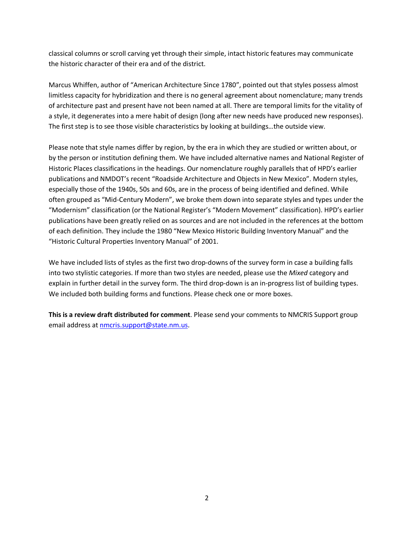classical columns or scroll carving yet through their simple, intact historic features may communicate the historic character of their era and of the district.

Marcus Whiffen, author of "American Architecture Since 1780", pointed out that styles possess almost limitless capacity for hybridization and there is no general agreement about nomenclature; many trends of architecture past and present have not been named at all. There are temporal limits for the vitality of a style, it degenerates into a mere habit of design (long after new needs have produced new responses). The first step is to see those visible characteristics by looking at buildings…the outside view.

Please note that style names differ by region, by the era in which they are studied or written about, or by the person or institution defining them. We have included alternative names and National Register of Historic Places classifications in the headings. Our nomenclature roughly parallels that of HPD's earlier publications and NMDOT's recent "Roadside Architecture and Objects in New Mexico". Modern styles, especially those of the 1940s, 50s and 60s, are in the process of being identified and defined. While often grouped as "Mid-Century Modern", we broke them down into separate styles and types under the "Modernism" classification (or the National Register's "Modern Movement" classification). HPD's earlier publications have been greatly relied on as sources and are not included in the references at the bottom of each definition. They include the 1980 "New Mexico Historic Building Inventory Manual" and the "Historic Cultural Properties Inventory Manual" of 2001.

We have included lists of styles as the first two drop-downs of the survey form in case a building falls into two stylistic categories. If more than two styles are needed, please use the *Mixed* category and explain in further detail in the survey form. The third drop-down is an in-progress list of building types. We included both building forms and functions. Please check one or more boxes.

**This is a review draft distributed for comment**. Please send your comments to NMCRIS Support group email address at [nmcris.support@state.nm.us](mailto:nmcris.support@state.nm.us).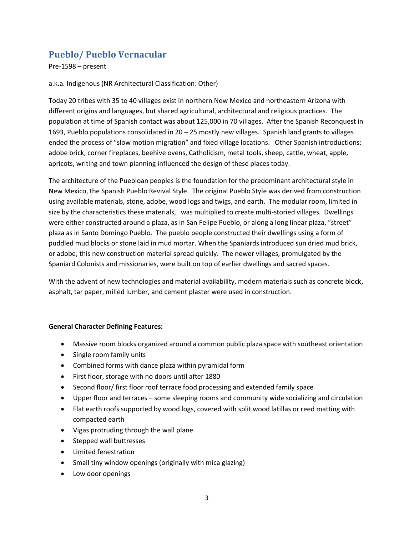# **Pueblo/ Pueblo Vernacular**

Pre-1598 – present

a.k.a. Indigenous (NR Architectural Classification: Other)

Today 20 tribes with 35 to 40 villages exist in northern New Mexico and northeastern Arizona with different origins and languages, but shared agricultural, architectural and religious practices. The population at time of Spanish contact was about 125,000 in 70 villages. After the Spanish Reconquest in 1693, Pueblo populations consolidated in 20 – 25 mostly new villages. Spanish land grants to villages ended the process of "slow motion migration" and fixed village locations. Other Spanish introductions: adobe brick, corner fireplaces, beehive ovens, Catholicism, metal tools, sheep, cattle, wheat, apple, apricots, writing and town planning influenced the design of these places today.

The architecture of the Puebloan peoples is the foundation for the predominant architectural style in New Mexico, the Spanish Pueblo Revival Style. The original Pueblo Style was derived from construction using available materials, stone, adobe, wood logs and twigs, and earth. The modular room, limited in size by the characteristics these materials, was multiplied to create multi-storied villages. Dwellings were either constructed around a plaza, as in San Felipe Pueblo, or along a long linear plaza, "street" plaza as in Santo Domingo Pueblo. The pueblo people constructed their dwellings using a form of puddled mud blocks or stone laid in mud mortar. When the Spaniards introduced sun dried mud brick, or adobe; this new construction material spread quickly. The newer villages, promulgated by the Spaniard Colonists and missionaries, were built on top of earlier dwellings and sacred spaces.

With the advent of new technologies and material availability, modern materials such as concrete block, asphalt, tar paper, milled lumber, and cement plaster were used in construction.

#### **General Character Defining Features:**

- · Massive room blocks organized around a common public plaza space with southeast orientation
- Single room family units
- · Combined forms with dance plaza within pyramidal form
- · First floor, storage with no doors until after 1880
- · Second floor/ first floor roof terrace food processing and extended family space
- · Upper floor and terraces some sleeping rooms and community wide socializing and circulation
- · Flat earth roofs supported by wood logs, covered with split wood latillas or reed matting with compacted earth
- · Vigas protruding through the wall plane
- · Stepped wall buttresses
- · Limited fenestration
- Small tiny window openings (originally with mica glazing)
- <span id="page-6-0"></span>· Low door openings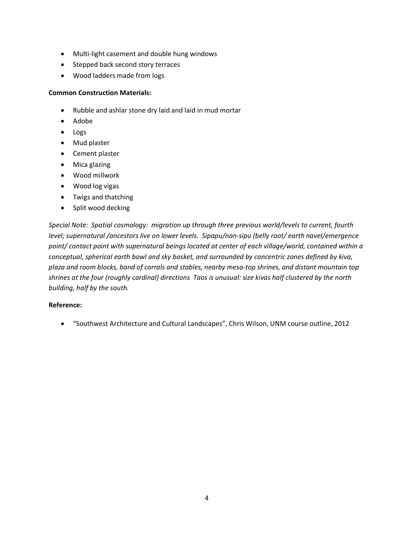- · Multi-light casement and double hung windows
- · Stepped back second story terraces
- · Wood ladders made from logs

#### **Common Construction Materials:**

- · Rubble and ashlar stone dry laid and laid in mud mortar
- · Adobe
- · Logs
- · Mud plaster
- · Cement plaster
- · Mica glazing
- · Wood millwork
- · Wood log vigas
- · Twigs and thatching
- · Split wood decking

*Special Note: Spatial cosmology: migration up through three previous world/levels to current, fourth level; supernatural /ancestors live on lower levels. Sipapu/nan-sipu (belly root/ earth navel/emergence point/ contact point with supernatural beings located at center of each village/world, contained within a conceptual, spherical earth bowl and sky basket, and surrounded by concentric zones defined by kiva, plaza and room blocks, band of corrals and stables, nearby mesa-top shrines, and distant mountain top shrines at the four (roughly cardinal) directions Taos is unusual: size kivas half clustered by the north building, half by the south.*

#### **Reference:**

· "Southwest Architecture and Cultural Landscapes", Chris Wilson, UNM course outline, 2012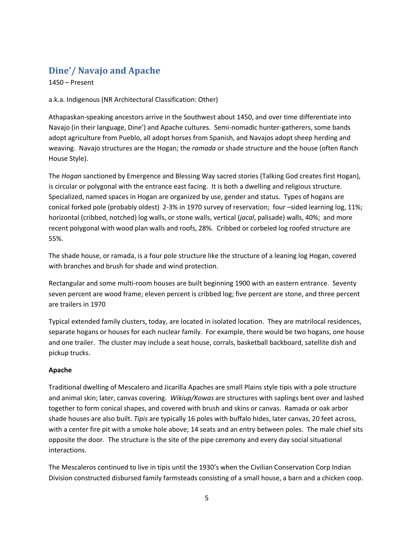# **Dine'/ Navajo and Apache**

1450 – Present

a.k.a. Indigenous (NR Architectural Classification: Other)

Athapaskan-speaking ancestors arrive in the Southwest about 1450, and over time differentiate into Navajo (in their language, Dine') and Apache cultures. Semi-nomadic hunter-gatherers, some bands adopt agriculture from Pueblo, all adopt horses from Spanish, and Navajos adopt sheep herding and weaving. Navajo structures are the Hogan; the *ramada* or shade structure and the house (often Ranch House Style).

The *Hogan* sanctioned by Emergence and Blessing Way sacred stories (Talking God creates first Hogan), is circular or polygonal with the entrance east facing. It is both a dwelling and religious structure. Specialized, named spaces in Hogan are organized by use, gender and status. Types of hogans are conical forked pole (probably oldest) 2-3% in 1970 survey of reservation; four –sided learning log, 11%; horizontal (cribbed, notched) log walls, or stone walls, vertical (*jacal*, palisade) walls, 40%; and more recent polygonal with wood plan walls and roofs, 28%. Cribbed or corbeled log roofed structure are 55%.

The shade house, or ramada, is a four pole structure like the structure of a leaning log Hogan, covered with branches and brush for shade and wind protection.

Rectangular and some multi-room houses are built beginning 1900 with an eastern entrance. Seventy seven percent are wood frame; eleven percent is cribbed log; five percent are stone, and three percent are trailers in 1970

Typical extended family clusters, today, are located in isolated location. They are matrilocal residences, separate hogans or houses for each nuclear family. For example, there would be two hogans, one house and one trailer. The cluster may include a seat house, corrals, basketball backboard, satellite dish and pickup trucks.

# **Apache**

Traditional dwelling of Mescalero and Jicarilla Apaches are small Plains style tipis with a pole structure and animal skin; later, canvas covering. *Wikiup/Kowas* are structures with saplings bent over and lashed together to form conical shapes, and covered with brush and skins or canvas. Ramada or oak arbor shade houses are also built. *Tipis* are typically 16 poles with buffalo hides, later canvas, 20 feet across, with a center fire pit with a smoke hole above; 14 seats and an entry between poles. The male chief sits opposite the door. The structure is the site of the pipe ceremony and every day social situational interactions.

<span id="page-8-0"></span>The Mescaleros continued to live in tipis until the 1930's when the Civilian Conservation Corp Indian Division constructed disbursed family farmsteads consisting of a small house, a barn and a chicken coop.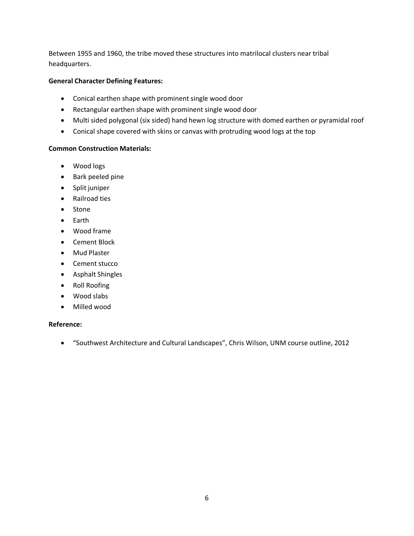Between 1955 and 1960, the tribe moved these structures into matrilocal clusters near tribal headquarters.

### **General Character Defining Features:**

- · Conical earthen shape with prominent single wood door
- · Rectangular earthen shape with prominent single wood door
- · Multi sided polygonal (six sided) hand hewn log structure with domed earthen or pyramidal roof
- · Conical shape covered with skins or canvas with protruding wood logs at the top

### **Common Construction Materials:**

- · Wood logs
- · Bark peeled pine
- · Split juniper
- · Railroad ties
- · Stone
- · Earth
- · Wood frame
- · Cement Block
- · Mud Plaster
- · Cement stucco
- · Asphalt Shingles
- · Roll Roofing
- · Wood slabs
- · Milled wood

# **Reference:**

· "Southwest Architecture and Cultural Landscapes", Chris Wilson, UNM course outline, 2012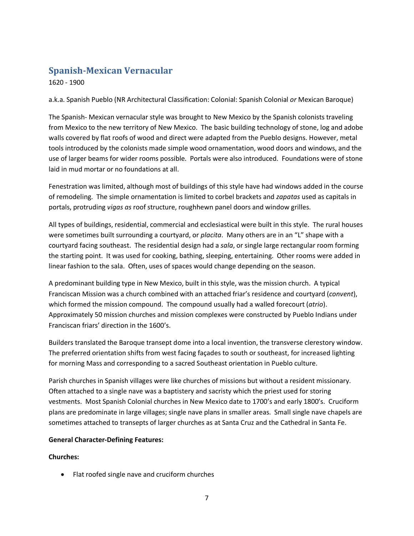# **Spanish-Mexican Vernacular**

1620 - 1900

a.k.a. Spanish Pueblo (NR Architectural Classification: Colonial: Spanish Colonial *or* Mexican Baroque)

The Spanish- Mexican vernacular style was brought to New Mexico by the Spanish colonists traveling from Mexico to the new territory of New Mexico. The basic building technology of stone, log and adobe walls covered by flat roofs of wood and direct were adapted from the Pueblo designs. However, metal tools introduced by the colonists made simple wood ornamentation, wood doors and windows, and the use of larger beams for wider rooms possible. Portals were also introduced. Foundations were of stone laid in mud mortar or no foundations at all.

Fenestration was limited, although most of buildings of this style have had windows added in the course of remodeling. The simple ornamentation is limited to corbel brackets and *zapatas* used as capitals in portals, protruding *vigas as* roof structure, roughhewn panel doors and window grilles.

All types of buildings, residential, commercial and ecclesiastical were built in this style. The rural houses were sometimes built surrounding a courtyard, or *placita*. Many others are in an "L" shape with a courtyard facing southeast. The residential design had a *sala*, or single large rectangular room forming the starting point. It was used for cooking, bathing, sleeping, entertaining. Other rooms were added in linear fashion to the sala. Often, uses of spaces would change depending on the season.

A predominant building type in New Mexico, built in this style, was the mission church. A typical Franciscan Mission was a church combined with an attached friar's residence and courtyard (*convent*), which formed the mission compound. The compound usually had a walled forecourt (*atrio*). Approximately 50 mission churches and mission complexes were constructed by Pueblo Indians under Franciscan friars' direction in the 1600's.

Builders translated the Baroque transept dome into a local invention, the transverse clerestory window. The preferred orientation shifts from west facing façades to south or southeast, for increased lighting for morning Mass and corresponding to a sacred Southeast orientation in Pueblo culture.

Parish churches in Spanish villages were like churches of missions but without a resident missionary. Often attached to a single nave was a baptistery and sacristy which the priest used for storing vestments. Most Spanish Colonial churches in New Mexico date to 1700's and early 1800's. Cruciform plans are predominate in large villages; single nave plans in smaller areas. Small single nave chapels are sometimes attached to transepts of larger churches as at Santa Cruz and the Cathedral in Santa Fe.

# **General Character-Defining Features:**

# **Churches:**

<span id="page-10-0"></span>· Flat roofed single nave and cruciform churches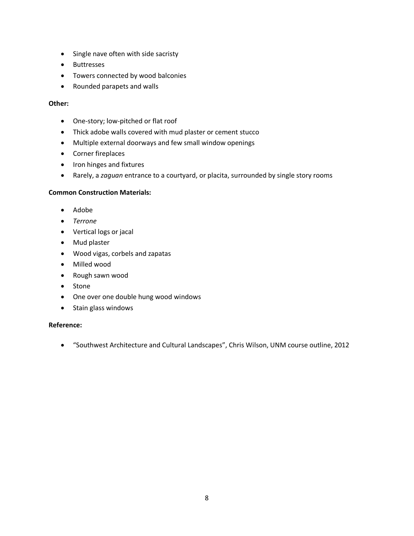- · Single nave often with side sacristy
- · Buttresses
- · Towers connected by wood balconies
- · Rounded parapets and walls

#### **Other:**

- · One-story; low-pitched or flat roof
- · Thick adobe walls covered with mud plaster or cement stucco
- · Multiple external doorways and few small window openings
- · Corner fireplaces
- · Iron hinges and fixtures
- · Rarely, a *zaguan* entrance to a courtyard, or placita, surrounded by single story rooms

#### **Common Construction Materials:**

- · Adobe
- · *Terrone*
- · Vertical logs or jacal
- · Mud plaster
- · Wood vigas, corbels and zapatas
- · Milled wood
- · Rough sawn wood
- · Stone
- · One over one double hung wood windows
- · Stain glass windows

#### **Reference:**

· "Southwest Architecture and Cultural Landscapes", Chris Wilson, UNM course outline, 2012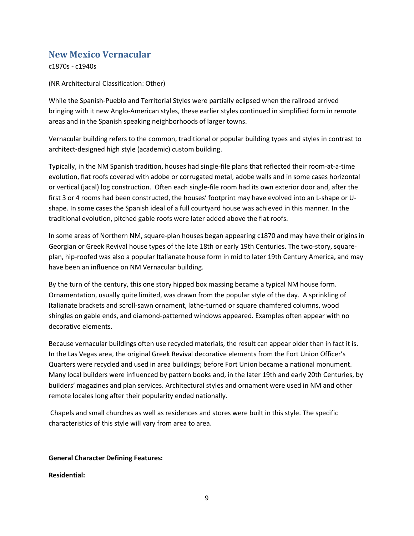# **New Mexico Vernacular**

c1870s - c1940s

(NR Architectural Classification: Other)

While the Spanish-Pueblo and Territorial Styles were partially eclipsed when the railroad arrived bringing with it new Anglo-American styles, these earlier styles continued in simplified form in remote areas and in the Spanish speaking neighborhoods of larger towns.

Vernacular building refers to the common, traditional or popular building types and styles in contrast to architect-designed high style (academic) custom building.

Typically, in the NM Spanish tradition, houses had single-file plans that reflected their room-at-a-time evolution, flat roofs covered with adobe or corrugated metal, adobe walls and in some cases horizontal or vertical (jacal) log construction. Often each single-file room had its own exterior door and, after the first 3 or 4 rooms had been constructed, the houses' footprint may have evolved into an L-shape or Ushape. In some cases the Spanish ideal of a full courtyard house was achieved in this manner. In the traditional evolution, pitched gable roofs were later added above the flat roofs.

In some areas of Northern NM, square-plan houses began appearing c1870 and may have their origins in Georgian or Greek Revival house types of the late 18th or early 19th Centuries. The two-story, squareplan, hip-roofed was also a popular Italianate house form in mid to later 19th Century America, and may have been an influence on NM Vernacular building.

By the turn of the century, this one story hipped box massing became a typical NM house form. Ornamentation, usually quite limited, was drawn from the popular style of the day. A sprinkling of Italianate brackets and scroll-sawn ornament, lathe-turned or square chamfered columns, wood shingles on gable ends, and diamond-patterned windows appeared. Examples often appear with no decorative elements.

Because vernacular buildings often use recycled materials, the result can appear older than in fact it is. In the Las Vegas area, the original Greek Revival decorative elements from the Fort Union Officer's Quarters were recycled and used in area buildings; before Fort Union became a national monument. Many local builders were influenced by pattern books and, in the later 19th and early 20th Centuries, by builders' magazines and plan services. Architectural styles and ornament were used in NM and other remote locales long after their popularity ended nationally.

Chapels and small churches as well as residences and stores were built in this style. The specific characteristics of this style will vary from area to area.

# **General Character Defining Features:**

<span id="page-12-0"></span>**Residential:**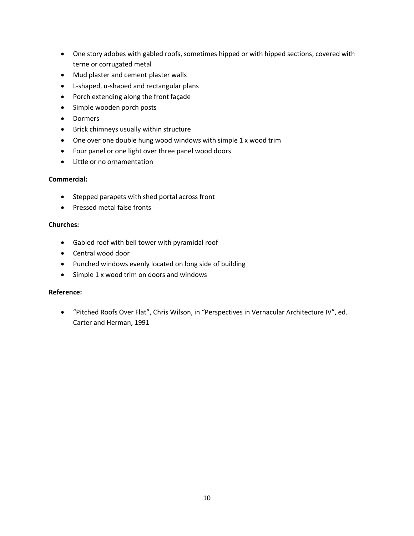- · One story adobes with gabled roofs, sometimes hipped or with hipped sections, covered with terne or corrugated metal
- · Mud plaster and cement plaster walls
- · L-shaped, u-shaped and rectangular plans
- · Porch extending along the front façade
- · Simple wooden porch posts
- · Dormers
- · Brick chimneys usually within structure
- · One over one double hung wood windows with simple 1 x wood trim
- · Four panel or one light over three panel wood doors
- · Little or no ornamentation

### **Commercial:**

- · Stepped parapets with shed portal across front
- · Pressed metal false fronts

#### **Churches:**

- · Gabled roof with bell tower with pyramidal roof
- · Central wood door
- · Punched windows evenly located on long side of building
- · Simple 1 x wood trim on doors and windows

#### **Reference:**

· "Pitched Roofs Over Flat", Chris Wilson, in "Perspectives in Vernacular Architecture IV", ed. Carter and Herman, 1991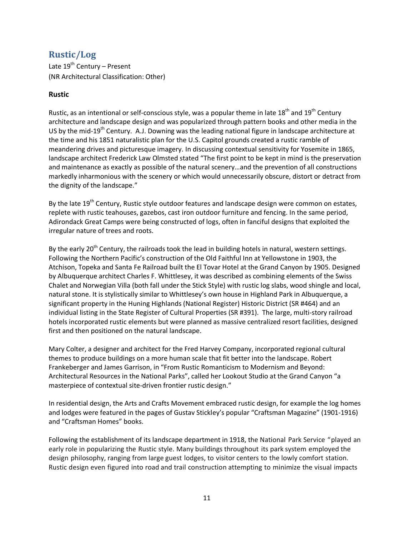# **Rustic/Log**

Late  $19^{th}$  Century – Present (NR Architectural Classification: Other)

# **Rustic**

Rustic, as an intentional or self-conscious style, was a popular theme in late  $18<sup>th</sup>$  and  $19<sup>th</sup>$  Century architecture and landscape design and was popularized through pattern books and other media in the US by the mid-19<sup>th</sup> Century. A.J. Downing was the leading national figure in landscape architecture at the time and his 1851 naturalistic plan for the U.S. Capitol grounds created a rustic ramble of meandering drives and picturesque imagery. In discussing contextual sensitivity for Yosemite in 1865, landscape architect Frederick Law Olmsted stated "The first point to be kept in mind is the preservation and maintenance as exactly as possible of the natural scenery…and the prevention of all constructions markedly inharmonious with the scenery or which would unnecessarily obscure, distort or detract from the dignity of the landscape."

By the late 19<sup>th</sup> Century, Rustic style outdoor features and landscape design were common on estates, replete with rustic teahouses, gazebos, cast iron outdoor furniture and fencing. In the same period, Adirondack Great Camps were being constructed of logs, often in fanciful designs that exploited the irregular nature of trees and roots.

By the early  $20<sup>th</sup>$  Century, the railroads took the lead in building hotels in natural, western settings. Following the Northern Pacific's construction of the Old Faithful Inn at Yellowstone in 1903, the Atchison, Topeka and Santa Fe Railroad built the El Tovar Hotel at the Grand Canyon by 1905. Designed by Albuquerque architect Charles F. Whittlesey, it was described as combining elements of the Swiss Chalet and Norwegian Villa (both fall under the Stick Style) with rustic log slabs, wood shingle and local, natural stone. It is stylistically similar to Whittlesey's own house in Highland Park in Albuquerque, a significant property in the Huning Highlands (National Register) Historic District (SR #464) and an individual listing in the State Register of Cultural Properties (SR #391). The large, multi-story railroad hotels incorporated rustic elements but were planned as massive centralized resort facilities, designed first and then positioned on the natural landscape.

Mary Colter, a designer and architect for the Fred Harvey Company, incorporated regional cultural themes to produce buildings on a more human scale that fit better into the landscape. Robert Frankeberger and James Garrison, in "From Rustic Romanticism to Modernism and Beyond: Architectural Resources in the National Parks", called her Lookout Studio at the Grand Canyon "a masterpiece of contextual site-driven frontier rustic design."

In residential design, the Arts and Crafts Movement embraced rustic design, for example the log homes and lodges were featured in the pages of Gustav Stickley's popular "Craftsman Magazine" (1901-1916) and "Craftsman Homes" books.

<span id="page-14-0"></span>Following the establishment of its landscape department in 1918, the National Park Service "played an early role in popularizing the Rustic style. Many buildings throughout its park system employed the design philosophy, ranging from large guest lodges, to visitor centers to the lowly comfort station. Rustic design even figured into road and trail construction attempting to minimize the visual impacts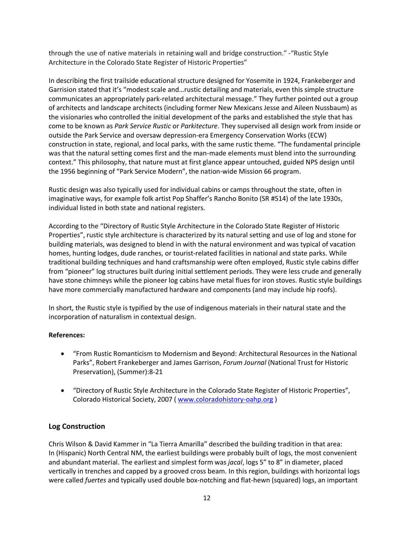through the use of native materials in retaining wall and bridge construction." -"Rustic Style Architecture in the Colorado State Register of Historic Properties"

In describing the first trailside educational structure designed for Yosemite in 1924, Frankeberger and Garrision stated that it's "modest scale and…rustic detailing and materials, even this simple structure communicates an appropriately park-related architectural message." They further pointed out a group of architects and landscape architects (including former New Mexicans Jesse and Aileen Nussbaum) as the visionaries who controlled the initial development of the parks and established the style that has come to be known as *Park Service Rustic* or *Parkitecture*. They supervised all design work from inside or outside the Park Service and oversaw depression-era Emergency Conservation Works (ECW) construction in state, regional, and local parks, with the same rustic theme. "The fundamental principle was that the natural setting comes first and the man-made elements must blend into the surrounding context." This philosophy, that nature must at first glance appear untouched, guided NPS design until the 1956 beginning of "Park Service Modern", the nation-wide Mission 66 program.

Rustic design was also typically used for individual cabins or camps throughout the state, often in imaginative ways, for example folk artist Pop Shaffer's Rancho Bonito (SR #514) of the late 1930s, individual listed in both state and national registers.

According to the "Directory of Rustic Style Architecture in the Colorado State Register of Historic Properties", rustic style architecture is characterized by its natural setting and use of log and stone for building materials, was designed to blend in with the natural environment and was typical of vacation homes, hunting lodges, dude ranches, or tourist-related facilities in national and state parks. While traditional building techniques and hand craftsmanship were often employed, Rustic style cabins differ from "pioneer" log structures built during initial settlement periods. They were less crude and generally have stone chimneys while the pioneer log cabins have metal flues for iron stoves. Rustic style buildings have more commercially manufactured hardware and components (and may include hip roofs).

In short, the Rustic style is typified by the use of indigenous materials in their natural state and the incorporation of naturalism in contextual design.

# **References:**

- · "From Rustic Romanticism to Modernism and Beyond: Architectural Resources in the National Parks", Robert Frankeberger and James Garrison, *Forum Journal* (National Trust for Historic Preservation), (Summer):8-21
- · "Directory of Rustic Style Architecture in the Colorado State Register of Historic Properties", Colorado Historical Society, 2007 ( [www.coloradohistory-oahp.org](http://www.coloradohistory-oahp.org/) )

# **Log Construction**

Chris Wilson & David Kammer in "La Tierra Amarilla" described the building tradition in that area: In (Hispanic) North Central NM, the earliest buildings were probably built of logs, the most convenient and abundant material. The earliest and simplest form was *jacal*, logs 5" to 8" in diameter, placed vertically in trenches and capped by a grooved cross beam. In this region, buildings with horizontal logs were called *fuertes* and typically used double box-notching and flat-hewn (squared) logs, an important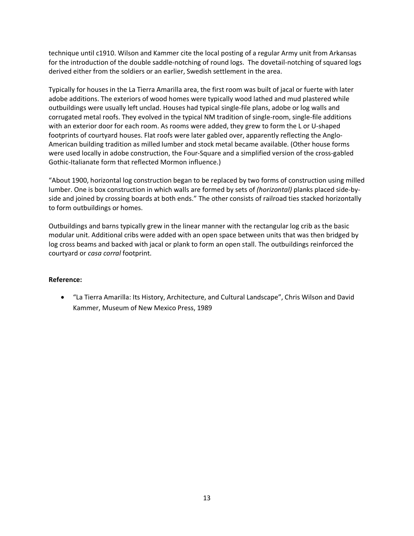technique until c1910. Wilson and Kammer cite the local posting of a regular Army unit from Arkansas for the introduction of the double saddle-notching of round logs. The dovetail-notching of squared logs derived either from the soldiers or an earlier, Swedish settlement in the area.

Typically for houses in the La Tierra Amarilla area, the first room was built of jacal or fuerte with later adobe additions. The exteriors of wood homes were typically wood lathed and mud plastered while outbuildings were usually left unclad. Houses had typical single-file plans, adobe or log walls and corrugated metal roofs. They evolved in the typical NM tradition of single-room, single-file additions with an exterior door for each room. As rooms were added, they grew to form the L or U-shaped footprints of courtyard houses. Flat roofs were later gabled over, apparently reflecting the Anglo-American building tradition as milled lumber and stock metal became available. (Other house forms were used locally in adobe construction, the Four-Square and a simplified version of the cross-gabled Gothic-Italianate form that reflected Mormon influence.)

"About 1900, horizontal log construction began to be replaced by two forms of construction using milled lumber. One is box construction in which walls are formed by sets of *(horizontal)* planks placed side-byside and joined by crossing boards at both ends." The other consists of railroad ties stacked horizontally to form outbuildings or homes.

Outbuildings and barns typically grew in the linear manner with the rectangular log crib as the basic modular unit. Additional cribs were added with an open space between units that was then bridged by log cross beams and backed with jacal or plank to form an open stall. The outbuildings reinforced the courtyard or *casa corral* footprint.

#### **Reference:**

· "La Tierra Amarilla: Its History, Architecture, and Cultural Landscape", Chris Wilson and David Kammer, Museum of New Mexico Press, 1989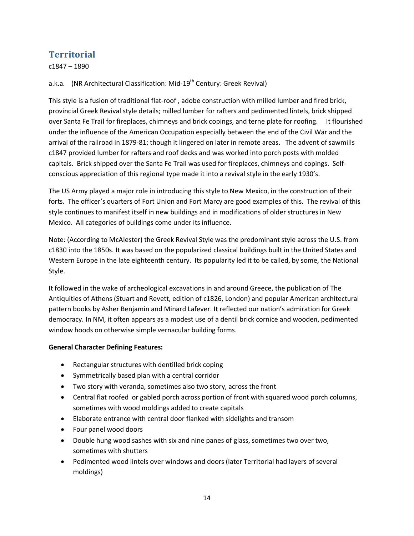# **Territorial**

c1847 – 1890

a.k.a. (NR Architectural Classification: Mid-19<sup>th</sup> Century: Greek Revival)

This style is a fusion of traditional flat-roof , adobe construction with milled lumber and fired brick, provincial Greek Revival style details; milled lumber for rafters and pedimented lintels, brick shipped over Santa Fe Trail for fireplaces, chimneys and brick copings, and terne plate for roofing. It flourished under the influence of the American Occupation especially between the end of the Civil War and the arrival of the railroad in 1879-81; though it lingered on later in remote areas. The advent of sawmills c1847 provided lumber for rafters and roof decks and was worked into porch posts with molded capitals. Brick shipped over the Santa Fe Trail was used for fireplaces, chimneys and copings. Selfconscious appreciation of this regional type made it into a revival style in the early 1930's.

The US Army played a major role in introducing this style to New Mexico, in the construction of their forts. The officer's quarters of Fort Union and Fort Marcy are good examples of this. The revival of this style continues to manifest itself in new buildings and in modifications of older structures in New Mexico. All categories of buildings come under its influence.

Note: (According to McAlester) the Greek Revival Style was the predominant style across the U.S. from c1830 into the 1850s. It was based on the popularized classical buildings built in the United States and Western Europe in the late eighteenth century. Its popularity led it to be called, by some, the National Style.

It followed in the wake of archeological excavations in and around Greece, the publication of The Antiquities of Athens (Stuart and Revett, edition of c1826, London) and popular American architectural pattern books by Asher Benjamin and Minard Lafever. It reflected our nation's admiration for Greek democracy. In NM, it often appears as a modest use of a dentil brick cornice and wooden, pedimented window hoods on otherwise simple vernacular building forms.

# **General Character Defining Features:**

- · Rectangular structures with dentilled brick coping
- · Symmetrically based plan with a central corridor
- · Two story with veranda, sometimes also two story, across the front
- · Central flat roofed or gabled porch across portion of front with squared wood porch columns, sometimes with wood moldings added to create capitals
- · Elaborate entrance with central door flanked with sidelights and transom
- · Four panel wood doors
- · Double hung wood sashes with six and nine panes of glass, sometimes two over two, sometimes with shutters
- <span id="page-17-0"></span>· Pedimented wood lintels over windows and doors (later Territorial had layers of several moldings)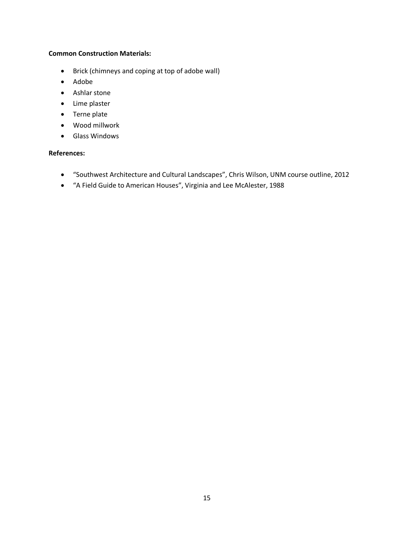#### **Common Construction Materials:**

- · Brick (chimneys and coping at top of adobe wall)
- · Adobe
- · Ashlar stone
- · Lime plaster
- · Terne plate
- · Wood millwork
- · Glass Windows

# **References:**

- · "Southwest Architecture and Cultural Landscapes", Chris Wilson, UNM course outline, 2012
- · "A Field Guide to American Houses", Virginia and Lee McAlester, 1988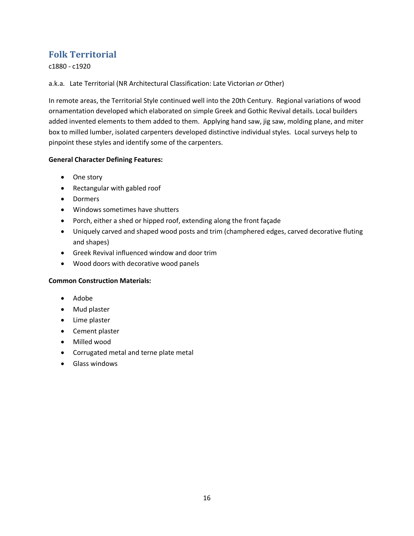# **Folk Territorial**

c1880 - c1920

a.k.a. Late Territorial (NR Architectural Classification: Late Victorian *or* Other)

In remote areas, the Territorial Style continued well into the 20th Century. Regional variations of wood ornamentation developed which elaborated on simple Greek and Gothic Revival details. Local builders added invented elements to them added to them. Applying hand saw, jig saw, molding plane, and miter box to milled lumber, isolated carpenters developed distinctive individual styles. Local surveys help to pinpoint these styles and identify some of the carpenters.

### **General Character Defining Features:**

- · One story
- · Rectangular with gabled roof
- · Dormers
- · Windows sometimes have shutters
- · Porch, either a shed or hipped roof, extending along the front façade
- · Uniquely carved and shaped wood posts and trim (champhered edges, carved decorative fluting and shapes)
- · Greek Revival influenced window and door trim
- · Wood doors with decorative wood panels

#### **Common Construction Materials:**

- · Adobe
- · Mud plaster
- · Lime plaster
- · Cement plaster
- · Milled wood
- · Corrugated metal and terne plate metal
- <span id="page-19-0"></span>· Glass windows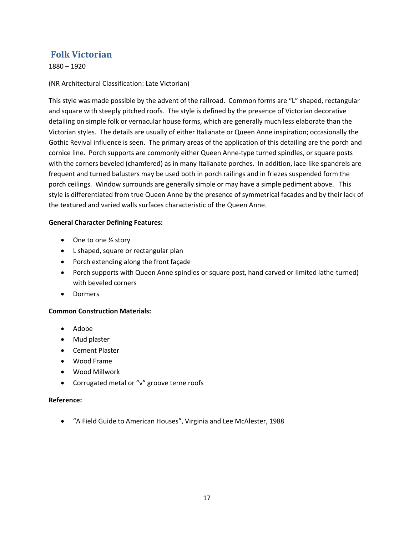# **Folk Victorian**

1880 – 1920

### (NR Architectural Classification: Late Victorian)

This style was made possible by the advent of the railroad. Common forms are "L" shaped, rectangular and square with steeply pitched roofs. The style is defined by the presence of Victorian decorative detailing on simple folk or vernacular house forms, which are generally much less elaborate than the Victorian styles. The details are usually of either Italianate or Queen Anne inspiration; occasionally the Gothic Revival influence is seen. The primary areas of the application of this detailing are the porch and cornice line. Porch supports are commonly either Queen Anne-type turned spindles, or square posts with the corners beveled (chamfered) as in many Italianate porches. In addition, lace-like spandrels are frequent and turned balusters may be used both in porch railings and in friezes suspended form the porch ceilings. Window surrounds are generally simple or may have a simple pediment above. This style is differentiated from true Queen Anne by the presence of symmetrical facades and by their lack of the textured and varied walls surfaces characteristic of the Queen Anne.

#### **General Character Defining Features:**

- One to one 1/2 story
- · L shaped, square or rectangular plan
- · Porch extending along the front façade
- · Porch supports with Queen Anne spindles or square post, hand carved or limited lathe-turned) with beveled corners
- · Dormers

#### **Common Construction Materials:**

- · Adobe
- · Mud plaster
- · Cement Plaster
- · Wood Frame
- · Wood Millwork
- · Corrugated metal or "v" groove terne roofs

#### **Reference:**

<span id="page-20-0"></span>· "A Field Guide to American Houses", Virginia and Lee McAlester, 1988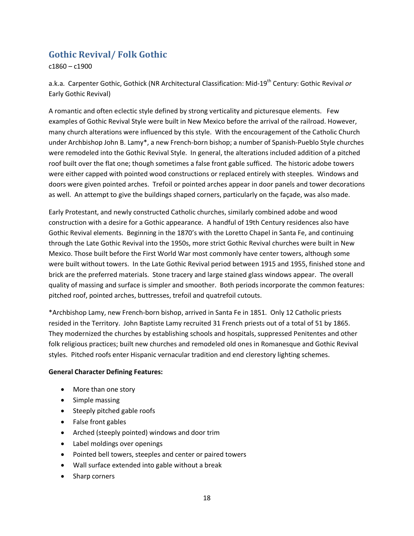# **Gothic Revival/ Folk Gothic**

c1860 – c1900

a.k.a. Carpenter Gothic, Gothick (NR Architectural Classification: Mid-19th Century: Gothic Revival *or* Early Gothic Revival)

A romantic and often eclectic style defined by strong verticality and picturesque elements. Few examples of Gothic Revival Style were built in New Mexico before the arrival of the railroad. However, many church alterations were influenced by this style. With the encouragement of the Catholic Church under Archbishop John B. Lamy\*, a new French-born bishop; a number of Spanish-Pueblo Style churches were remodeled into the Gothic Revival Style. In general, the alterations included addition of a pitched roof built over the flat one; though sometimes a false front gable sufficed. The historic adobe towers were either capped with pointed wood constructions or replaced entirely with steeples. Windows and doors were given pointed arches. Trefoil or pointed arches appear in door panels and tower decorations as well. An attempt to give the buildings shaped corners, particularly on the façade, was also made.

Early Protestant, and newly constructed Catholic churches, similarly combined adobe and wood construction with a desire for a Gothic appearance. A handful of 19th Century residences also have Gothic Revival elements. Beginning in the 1870's with the Loretto Chapel in Santa Fe, and continuing through the Late Gothic Revival into the 1950s, more strict Gothic Revival churches were built in New Mexico. Those built before the First World War most commonly have center towers, although some were built without towers. In the Late Gothic Revival period between 1915 and 1955, finished stone and brick are the preferred materials. Stone tracery and large stained glass windows appear. The overall quality of massing and surface is simpler and smoother. Both periods incorporate the common features: pitched roof, pointed arches, buttresses, trefoil and quatrefoil cutouts.

\*Archbishop Lamy, new French-born bishop, arrived in Santa Fe in 1851. Only 12 Catholic priests resided in the Territory. John Baptiste Lamy recruited 31 French priests out of a total of 51 by 1865. They modernized the churches by establishing schools and hospitals, suppressed Penitentes and other folk religious practices; built new churches and remodeled old ones in Romanesque and Gothic Revival styles. Pitched roofs enter Hispanic vernacular tradition and end clerestory lighting schemes.

#### **General Character Defining Features:**

- · More than one story
- Simple massing
- · Steeply pitched gable roofs
- · False front gables
- · Arched (steeply pointed) windows and door trim
- · Label moldings over openings
- · Pointed bell towers, steeples and center or paired towers
- · Wall surface extended into gable without a break
- <span id="page-21-0"></span>· Sharp corners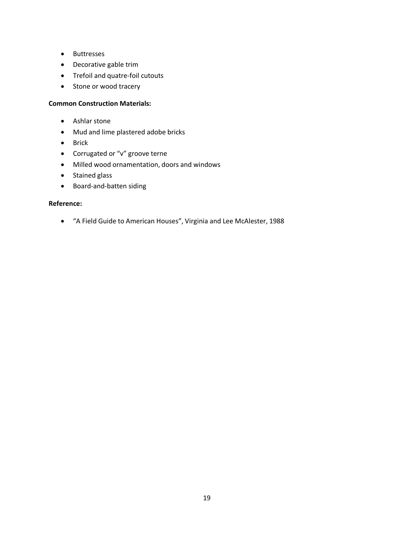- · Buttresses
- · Decorative gable trim
- · Trefoil and quatre-foil cutouts
- Stone or wood tracery

#### **Common Construction Materials:**

- · Ashlar stone
- · Mud and lime plastered adobe bricks
- · Brick
- · Corrugated or "v" groove terne
- · Milled wood ornamentation, doors and windows
- · Stained glass
- · Board-and-batten siding

#### **Reference:**

· "A Field Guide to American Houses", Virginia and Lee McAlester, 1988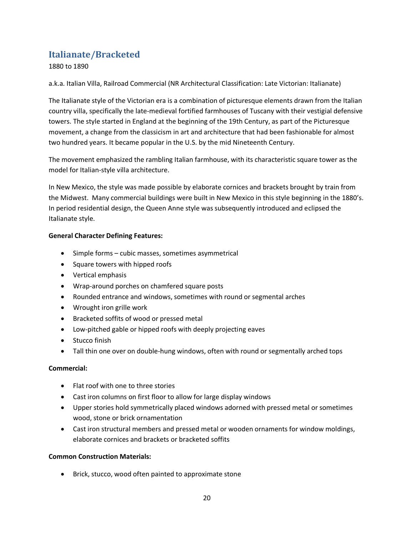# **Italianate/Bracketed**

1880 to 1890

a.k.a. Italian Villa, Railroad Commercial (NR Architectural Classification: Late Victorian: Italianate)

The Italianate style of the Victorian era is a combination of picturesque elements drawn from the Italian country villa, specifically the late-medieval fortified farmhouses of Tuscany with their vestigial defensive towers. The style started in England at the beginning of the 19th Century, as part of the Picturesque movement, a change from the classicism in art and architecture that had been fashionable for almost two hundred years. It became popular in the U.S. by the mid Nineteenth Century.

The movement emphasized the rambling Italian farmhouse, with its characteristic square tower as the model for Italian-style villa architecture.

In New Mexico, the style was made possible by elaborate cornices and brackets brought by train from the Midwest. Many commercial buildings were built in New Mexico in this style beginning in the 1880's. In period residential design, the Queen Anne style was subsequently introduced and eclipsed the Italianate style.

### **General Character Defining Features:**

- · Simple forms cubic masses, sometimes asymmetrical
- · Square towers with hipped roofs
- · Vertical emphasis
- · Wrap-around porches on chamfered square posts
- · Rounded entrance and windows, sometimes with round or segmental arches
- · Wrought iron grille work
- · Bracketed soffits of wood or pressed metal
- · Low-pitched gable or hipped roofs with deeply projecting eaves
- · Stucco finish
- Tall thin one over on double-hung windows, often with round or segmentally arched tops

#### **Commercial:**

- · Flat roof with one to three stories
- · Cast iron columns on first floor to allow for large display windows
- · Upper stories hold symmetrically placed windows adorned with pressed metal or sometimes wood, stone or brick ornamentation
- · Cast iron structural members and pressed metal or wooden ornaments for window moldings, elaborate cornices and brackets or bracketed soffits

#### **Common Construction Materials:**

<span id="page-23-0"></span>· Brick, stucco, wood often painted to approximate stone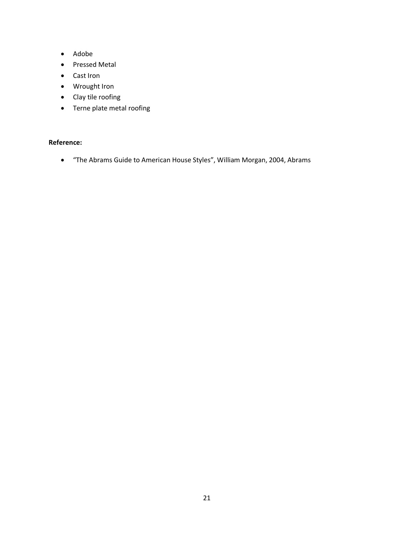- · Adobe
- · Pressed Metal
- · Cast Iron
- · Wrought Iron
- · Clay tile roofing
- · Terne plate metal roofing

# **Reference:**

· "The Abrams Guide to American House Styles", William Morgan, 2004, Abrams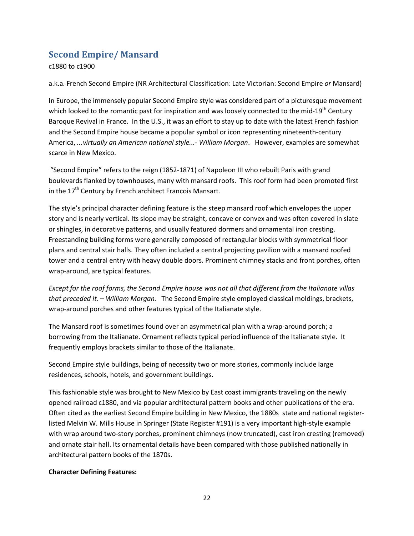# **Second Empire/ Mansard**

c1880 to c1900

a.k.a. French Second Empire (NR Architectural Classification: Late Victorian: Second Empire *or* Mansard)

In Europe, the immensely popular Second Empire style was considered part of a picturesque movement which looked to the romantic past for inspiration and was loosely connected to the mid-19<sup>th</sup> Century Baroque Revival in France. In the U.S., it was an effort to stay up to date with the latest French fashion and the Second Empire house became a popular symbol or icon representing nineteenth-century America, *...virtually an American national style...- William Morgan*. However, examples are somewhat scarce in New Mexico.

"Second Empire" refers to the reign (1852-1871) of Napoleon III who rebuilt Paris with grand boulevards flanked by townhouses, many with mansard roofs. This roof form had been promoted first in the 17th Century by French architect Francois Mansart*.*

The style's principal character defining feature is the steep mansard roof which envelopes the upper story and is nearly vertical. Its slope may be straight, concave or convex and was often covered in slate or shingles, in decorative patterns, and usually featured dormers and ornamental iron cresting. Freestanding building forms were generally composed of rectangular blocks with symmetrical floor plans and central stair halls. They often included a central projecting pavilion with a mansard roofed tower and a central entry with heavy double doors. Prominent chimney stacks and front porches, often wrap-around, are typical features.

*Except for the roof forms, the Second Empire house was not all that different from the Italianate villas that preceded it.* – *William Morgan.* The Second Empire style employed classical moldings, brackets, wrap-around porches and other features typical of the Italianate style.

The Mansard roof is sometimes found over an asymmetrical plan with a wrap-around porch; a borrowing from the Italianate. Ornament reflects typical period influence of the Italianate style. It frequently employs brackets similar to those of the Italianate.

Second Empire style buildings, being of necessity two or more stories, commonly include large residences, schools, hotels, and government buildings.

This fashionable style was brought to New Mexico by East coast immigrants traveling on the newly opened railroad c1880, and via popular architectural pattern books and other publications of the era. Often cited as the earliest Second Empire building in New Mexico, the 1880s state and national registerlisted Melvin W. Mills House in Springer (State Register #191) is a very important high-style example with wrap around two-story porches, prominent chimneys (now truncated), cast iron cresting (removed) and ornate stair hall. Its ornamental details have been compared with those published nationally in architectural pattern books of the 1870s.

# <span id="page-25-0"></span>**Character Defining Features:**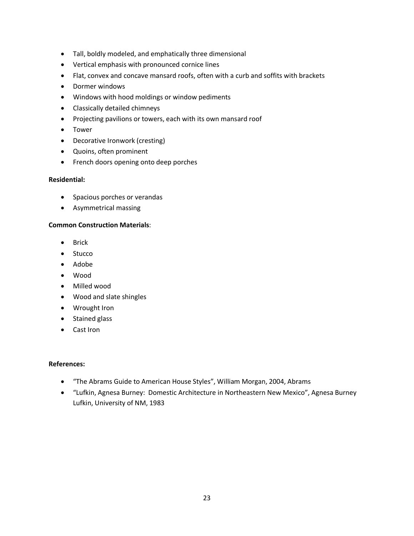- · Tall, boldly modeled, and emphatically three dimensional
- · Vertical emphasis with pronounced cornice lines
- · Flat, convex and concave mansard roofs, often with a curb and soffits with brackets
- · Dormer windows
- · Windows with hood moldings or window pediments
- · Classically detailed chimneys
- · Projecting pavilions or towers, each with its own mansard roof
- · Tower
- · Decorative Ironwork (cresting)
- · Quoins, often prominent
- · French doors opening onto deep porches

#### **Residential:**

- · Spacious porches or verandas
- · Asymmetrical massing

#### **Common Construction Materials**:

- · Brick
- · Stucco
- · Adobe
- · Wood
- · Milled wood
- · Wood and slate shingles
- · Wrought Iron
- · Stained glass
- · Cast Iron

#### **References:**

- · "The Abrams Guide to American House Styles", William Morgan, 2004, Abrams
- · "Lufkin, Agnesa Burney: Domestic Architecture in Northeastern New Mexico", Agnesa Burney Lufkin, University of NM, 1983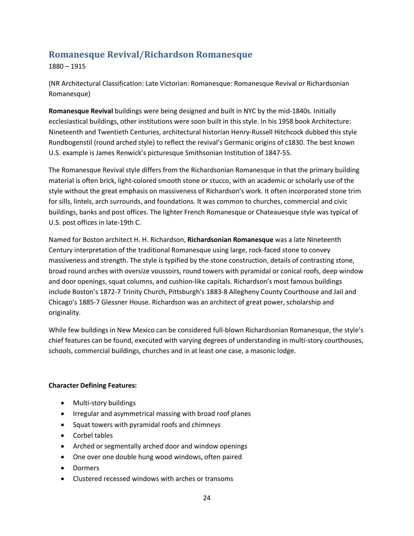# **Romanesque Revival/Richardson Romanesque**

1880 – 1915

(NR Architectural Classification: Late Victorian: Romanesque: Romanesque Revival *or* Richardsonian Romanesque)

**Romanesque Revival** buildings were being designed and built in NYC by the mid-1840s. Initially ecclesiastical buildings, other institutions were soon built in this style. In his 1958 book Architecture: Nineteenth and Twentieth Centuries, architectural historian Henry-Russell Hitchcock dubbed this style Rundbogenstil (round arched style) to reflect the revival's Germanic origins of c1830. The best known U.S. example is James Renwick's picturesque Smithsonian Institution of 1847-55.

The Romanesque Revival style differs from the Richardsonian Romanesque in that the primary building material is often brick, light-colored smooth stone or stucco, with an academic or scholarly use of the style without the great emphasis on massiveness of Richardson's work. It often incorporated stone trim for sills, lintels, arch surrounds, and foundations. It was common to churches, commercial and civic buildings, banks and post offices. The lighter French Romanesque or Chateauesque style was typical of U.S. post offices in late-19th C.

Named for Boston architect H. H. Richardson, **Richardsonian Romanesque** was a late Nineteenth Century interpretation of the traditional Romanesque using large, rock-faced stone to convey massiveness and strength. The style is typified by the stone construction, details of contrasting stone, broad round arches with oversize voussoirs, round towers with pyramidal or conical roofs, deep window and door openings, squat columns, and cushion-like capitals. Richardson's most famous buildings include Boston's 1872-7 Trinity Church, Pittsburgh's 1883-8 Allegheny County Courthouse and Jail and Chicago's 1885-7 Glessner House. Richardson was an architect of great power, scholarship and originality.

While few buildings in New Mexico can be considered full-blown Richardsonian Romanesque, the style's chief features can be found, executed with varying degrees of understanding in multi-story courthouses, schools, commercial buildings, churches and in at least one case, a masonic lodge.

# **Character Defining Features:**

- · Multi-story buildings
- · Irregular and asymmetrical massing with broad roof planes
- · Squat towers with pyramidal roofs and chimneys
- · Corbel tables
- · Arched or segmentally arched door and window openings
- · One over one double hung wood windows, often paired
- · Dormers
- <span id="page-27-0"></span>· Clustered recessed windows with arches or transoms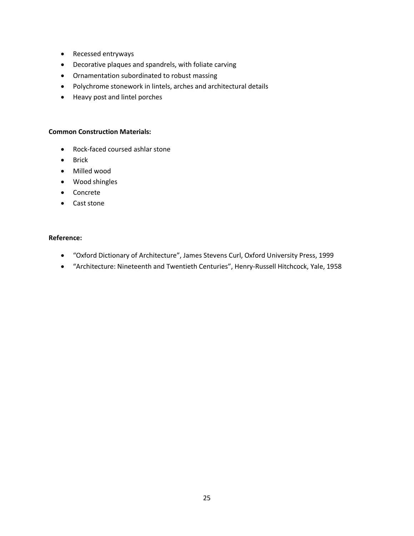- · Recessed entryways
- · Decorative plaques and spandrels, with foliate carving
- · Ornamentation subordinated to robust massing
- · Polychrome stonework in lintels, arches and architectural details
- · Heavy post and lintel porches

#### **Common Construction Materials:**

- · Rock-faced coursed ashlar stone
- · Brick
- · Milled wood
- · Wood shingles
- · Concrete
- · Cast stone

#### **Reference:**

- · "Oxford Dictionary of Architecture", James Stevens Curl, Oxford University Press, 1999
- · "Architecture: Nineteenth and Twentieth Centuries", Henry-Russell Hitchcock, Yale, 1958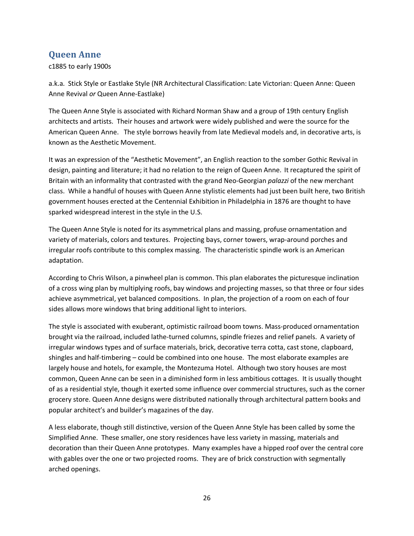# **Queen Anne**

c1885 to early 1900s

a.k.a. Stick Style or Eastlake Style (NR Architectural Classification: Late Victorian: Queen Anne: Queen Anne Revival *or* Queen Anne-Eastlake)

The Queen Anne Style is associated with Richard Norman Shaw and a group of 19th century English architects and artists. Their houses and artwork were widely published and were the source for the American Queen Anne. The style borrows heavily from late Medieval models and, in decorative arts, is known as the Aesthetic Movement.

It was an expression of the "Aesthetic Movement", an English reaction to the somber Gothic Revival in design, painting and literature; it had no relation to the reign of Queen Anne. It recaptured the spirit of Britain with an informality that contrasted with the grand Neo-Georgian *palazzi* of the new merchant class. While a handful of houses with Queen Anne stylistic elements had just been built here, two British government houses erected at the Centennial Exhibition in Philadelphia in 1876 are thought to have sparked widespread interest in the style in the U.S.

The Queen Anne Style is noted for its asymmetrical plans and massing, profuse ornamentation and variety of materials, colors and textures. Projecting bays, corner towers, wrap-around porches and irregular roofs contribute to this complex massing. The characteristic spindle work is an American adaptation.

According to Chris Wilson, a pinwheel plan is common. This plan elaborates the picturesque inclination of a cross wing plan by multiplying roofs, bay windows and projecting masses, so that three or four sides achieve asymmetrical, yet balanced compositions. In plan, the projection of a room on each of four sides allows more windows that bring additional light to interiors.

The style is associated with exuberant, optimistic railroad boom towns. Mass-produced ornamentation brought via the railroad, included lathe-turned columns, spindle friezes and relief panels. A variety of irregular windows types and of surface materials, brick, decorative terra cotta, cast stone, clapboard, shingles and half-timbering – could be combined into one house. The most elaborate examples are largely house and hotels, for example, the Montezuma Hotel. Although two story houses are most common, Queen Anne can be seen in a diminished form in less ambitious cottages. It is usually thought of as a residential style, though it exerted some influence over commercial structures, such as the corner grocery store. Queen Anne designs were distributed nationally through architectural pattern books and popular architect's and builder's magazines of the day.

<span id="page-29-0"></span>A less elaborate, though still distinctive, version of the Queen Anne Style has been called by some the Simplified Anne. These smaller, one story residences have less variety in massing, materials and decoration than their Queen Anne prototypes. Many examples have a hipped roof over the central core with gables over the one or two projected rooms. They are of brick construction with segmentally arched openings.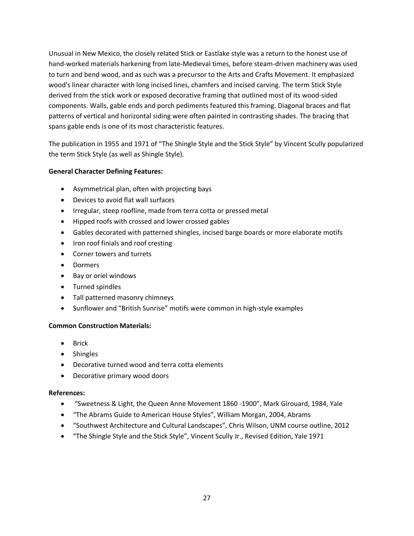Unusual in New Mexico, the closely related Stick or Eastlake style was a return to the honest use of hand-worked materials harkening from late-Medieval times, before steam-driven machinery was used to turn and bend wood, and as such was a precursor to the Arts and Crafts Movement. It emphasized wood's linear character with long incised lines, chamfers and incised carving. The term Stick Style derived from the stick work or exposed decorative framing that outlined most of its wood-sided components. Walls, gable ends and porch pediments featured this framing. Diagonal braces and flat patterns of vertical and horizontal siding were often painted in contrasting shades. The bracing that spans gable ends is one of its most characteristic features.

The publication in 1955 and 1971 of "The Shingle Style and the Stick Style" by Vincent Scully popularized the term Stick Style (as well as Shingle Style).

# **General Character Defining Features:**

- · Asymmetrical plan, often with projecting bays
- · Devices to avoid flat wall surfaces
- · Irregular, steep roofline, made from terra cotta or pressed metal
- · Hipped roofs with crossed and lower crossed gables
- · Gables decorated with patterned shingles, incised barge boards or more elaborate motifs
- · Iron roof finials and roof cresting
- · Corner towers and turrets
- · Dormers
- · Bay or oriel windows
- · Turned spindles
- · Tall patterned masonry chimneys
- · Sunflower and "British Sunrise" motifs were common in high-style examples

#### **Common Construction Materials:**

- · Brick
- · Shingles
- · Decorative turned wood and terra cotta elements
- · Decorative primary wood doors

#### **References:**

- · "Sweetness & Light, the Queen Anne Movement 1860 -1900", Mark Girouard, 1984, Yale
- · "The Abrams Guide to American House Styles", William Morgan, 2004, Abrams
- · "Southwest Architecture and Cultural Landscapes", Chris Wilson, UNM course outline, 2012
- · "The Shingle Style and the Stick Style", Vincent Scully Jr., Revised Edition, Yale 1971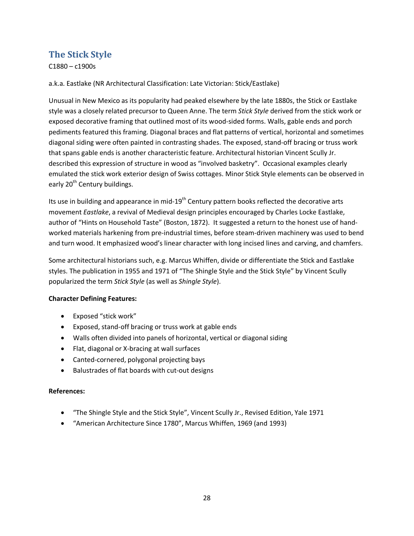# **The Stick Style**

C1880 – c1900s

a.k.a. Eastlake (NR Architectural Classification: Late Victorian: Stick/Eastlake)

Unusual in New Mexico as its popularity had peaked elsewhere by the late 1880s, the Stick or Eastlake style was a closely related precursor to Queen Anne. The term *Stick Style* derived from the stick work or exposed decorative framing that outlined most of its wood-sided forms. Walls, gable ends and porch pediments featured this framing. Diagonal braces and flat patterns of vertical, horizontal and sometimes diagonal siding were often painted in contrasting shades. The exposed, stand-off bracing or truss work that spans gable ends is another characteristic feature. Architectural historian Vincent Scully Jr. described this expression of structure in wood as "involved basketry". Occasional examples clearly emulated the stick work exterior design of Swiss cottages. Minor Stick Style elements can be observed in early 20<sup>th</sup> Century buildings.

Its use in building and appearance in mid-19<sup>th</sup> Century pattern books reflected the decorative arts movement *Eastlake*, a revival of Medieval design principles encouraged by Charles Locke Eastlake, author of "Hints on Household Taste" (Boston, 1872). It suggested a return to the honest use of handworked materials harkening from pre-industrial times, before steam-driven machinery was used to bend and turn wood. It emphasized wood's linear character with long incised lines and carving, and chamfers.

Some architectural historians such, e.g. Marcus Whiffen, divide or differentiate the Stick and Eastlake styles. The publication in 1955 and 1971 of "The Shingle Style and the Stick Style" by Vincent Scully popularized the term *Stick Style* (as well as *Shingle Style*).

# **Character Defining Features:**

- · Exposed "stick work"
- · Exposed, stand-off bracing or truss work at gable ends
- · Walls often divided into panels of horizontal, vertical or diagonal siding
- · Flat, diagonal or X-bracing at wall surfaces
- · Canted-cornered, polygonal projecting bays
- · Balustrades of flat boards with cut-out designs

#### **References:**

- · "The Shingle Style and the Stick Style", Vincent Scully Jr., Revised Edition, Yale 1971
- <span id="page-31-0"></span>· "American Architecture Since 1780", Marcus Whiffen, 1969 (and 1993)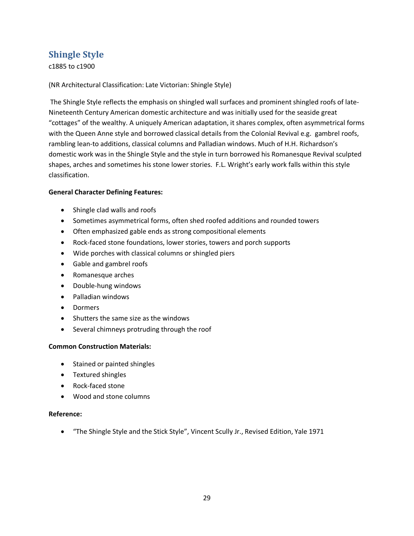# **Shingle Style**

c1885 to c1900

(NR Architectural Classification: Late Victorian: Shingle Style)

The Shingle Style reflects the emphasis on shingled wall surfaces and prominent shingled roofs of late-Nineteenth Century American domestic architecture and was initially used for the seaside great "cottages" of the wealthy. A uniquely American adaptation, it shares complex, often asymmetrical forms with the Queen Anne style and borrowed classical details from the Colonial Revival e.g. gambrel roofs, rambling lean-to additions, classical columns and Palladian windows. Much of H.H. Richardson's domestic work was in the Shingle Style and the style in turn borrowed his Romanesque Revival sculpted shapes, arches and sometimes his stone lower stories. F.L. Wright's early work falls within this style classification.

#### **General Character Defining Features:**

- · Shingle clad walls and roofs
- · Sometimes asymmetrical forms, often shed roofed additions and rounded towers
- · Often emphasized gable ends as strong compositional elements
- · Rock-faced stone foundations, lower stories, towers and porch supports
- · Wide porches with classical columns or shingled piers
- · Gable and gambrel roofs
- · Romanesque arches
- · Double-hung windows
- · Palladian windows
- · Dormers
- · Shutters the same size as the windows
- · Several chimneys protruding through the roof

#### **Common Construction Materials:**

- · Stained or painted shingles
- · Textured shingles
- · Rock-faced stone
- · Wood and stone columns

#### **Reference:**

<span id="page-32-0"></span>· "The Shingle Style and the Stick Style", Vincent Scully Jr., Revised Edition, Yale 1971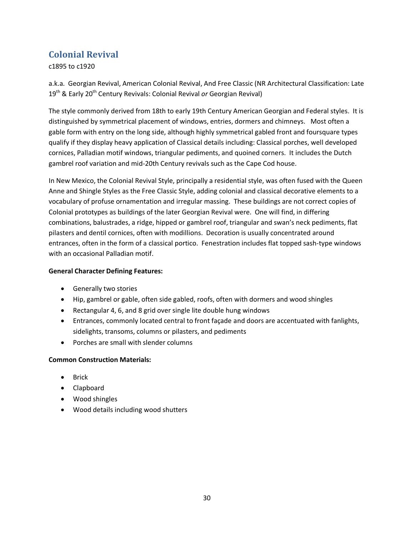# **Colonial Revival**

c1895 to c1920

a.k.a. Georgian Revival, American Colonial Revival, And Free Classic (NR Architectural Classification: Late 19th & Early 20th Century Revivals: Colonial Revival *or* Georgian Revival)

The style commonly derived from 18th to early 19th Century American Georgian and Federal styles. It is distinguished by symmetrical placement of windows, entries, dormers and chimneys. Most often a gable form with entry on the long side, although highly symmetrical gabled front and foursquare types qualify if they display heavy application of Classical details including: Classical porches, well developed cornices, Palladian motif windows, triangular pediments, and quoined corners. It includes the Dutch gambrel roof variation and mid-20th Century revivals such as the Cape Cod house.

In New Mexico, the Colonial Revival Style, principally a residential style, was often fused with the Queen Anne and Shingle Styles as the Free Classic Style, adding colonial and classical decorative elements to a vocabulary of profuse ornamentation and irregular massing. These buildings are not correct copies of Colonial prototypes as buildings of the later Georgian Revival were. One will find, in differing combinations, balustrades, a ridge, hipped or gambrel roof, triangular and swan's neck pediments, flat pilasters and dentil cornices, often with modillions. Decoration is usually concentrated around entrances, often in the form of a classical portico. Fenestration includes flat topped sash-type windows with an occasional Palladian motif.

# **General Character Defining Features:**

- · Generally two stories
- · Hip, gambrel or gable, often side gabled, roofs, often with dormers and wood shingles
- · Rectangular 4, 6, and 8 grid over single lite double hung windows
- · Entrances, commonly located central to front façade and doors are accentuated with fanlights, sidelights, transoms, columns or pilasters, and pediments
- · Porches are small with slender columns

# **Common Construction Materials:**

- · Brick
- · Clapboard
- · Wood shingles
- <span id="page-33-0"></span>· Wood details including wood shutters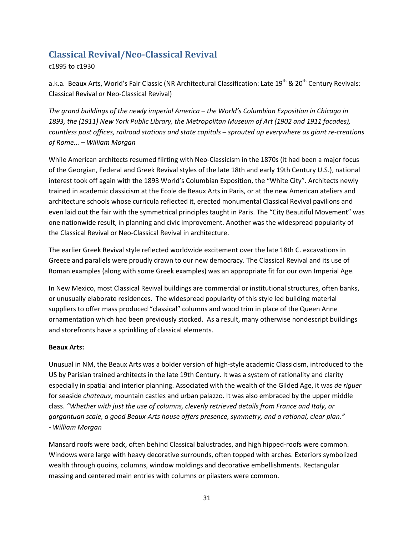# **Classical Revival/Neo-Classical Revival**

c1895 to c1930

a.k.a. Beaux Arts, World's Fair Classic (NR Architectural Classification: Late 19<sup>th</sup> & 20<sup>th</sup> Century Revivals: Classical Revival *or* Neo-Classical Revival)

*The grand buildings of the newly imperial America – the World's Columbian Exposition in Chicago in 1893, the (1911) New York Public Library, the Metropolitan Museum of Art (1902 and 1911 facades), countless post offices, railroad stations and state capitols – sprouted up everywhere as giant re-creations of Rome... – William Morgan*

While American architects resumed flirting with Neo-Classicism in the 1870s (it had been a major focus of the Georgian, Federal and Greek Revival styles of the late 18th and early 19th Century U.S.), national interest took off again with the 1893 World's Columbian Exposition, the "White City". Architects newly trained in academic classicism at the Ecole de Beaux Arts in Paris, or at the new American ateliers and architecture schools whose curricula reflected it, erected monumental Classical Revival pavilions and even laid out the fair with the symmetrical principles taught in Paris. The "City Beautiful Movement" was one nationwide result, in planning and civic improvement. Another was the widespread popularity of the Classical Revival or Neo-Classical Revival in architecture.

The earlier Greek Revival style reflected worldwide excitement over the late 18th C. excavations in Greece and parallels were proudly drawn to our new democracy. The Classical Revival and its use of Roman examples (along with some Greek examples) was an appropriate fit for our own Imperial Age.

In New Mexico, most Classical Revival buildings are commercial or institutional structures, often banks, or unusually elaborate residences. The widespread popularity of this style led building material suppliers to offer mass produced "classical" columns and wood trim in place of the Queen Anne ornamentation which had been previously stocked. As a result, many otherwise nondescript buildings and storefronts have a sprinkling of classical elements.

# **Beaux Arts:**

Unusual in NM, the Beaux Arts was a bolder version of high-style academic Classicism, introduced to the US by Parisian trained architects in the late 19th Century. It was a system of rationality and clarity especially in spatial and interior planning. Associated with the wealth of the Gilded Age, it was *de riguer* for seaside *chateaux*, mountain castles and urban palazzo. It was also embraced by the upper middle class. *"Whether with just the use of columns, cleverly retrieved details from France and Italy, or gargantuan scale, a good Beaux-Arts house offers presence, symmetry, and a rational, clear plan." - William Morgan*

<span id="page-34-0"></span>Mansard roofs were back, often behind Classical balustrades, and high hipped-roofs were common. Windows were large with heavy decorative surrounds, often topped with arches. Exteriors symbolized wealth through quoins, columns, window moldings and decorative embellishments. Rectangular massing and centered main entries with columns or pilasters were common.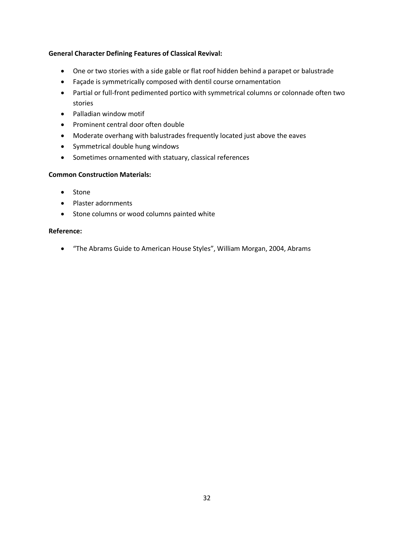### **General Character Defining Features of Classical Revival:**

- · One or two stories with a side gable or flat roof hidden behind a parapet or balustrade
- · Façade is symmetrically composed with dentil course ornamentation
- · Partial or full-front pedimented portico with symmetrical columns or colonnade often two stories
- · Palladian window motif
- · Prominent central door often double
- · Moderate overhang with balustrades frequently located just above the eaves
- · Symmetrical double hung windows
- · Sometimes ornamented with statuary, classical references

#### **Common Construction Materials:**

- · Stone
- · Plaster adornments
- · Stone columns or wood columns painted white

#### **Reference:**

· "The Abrams Guide to American House Styles", William Morgan, 2004, Abrams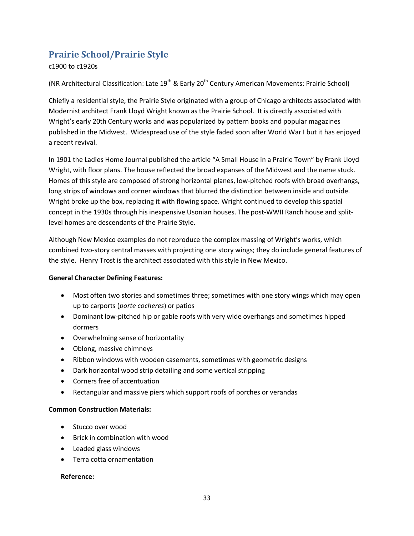# **Prairie School/Prairie Style**

c1900 to c1920s

(NR Architectural Classification: Late 19<sup>th</sup> & Early 20<sup>th</sup> Century American Movements: Prairie School)

Chiefly a residential style, the Prairie Style originated with a group of Chicago architects associated with Modernist architect Frank Lloyd Wright known as the Prairie School. It is directly associated with Wright's early 20th Century works and was popularized by pattern books and popular magazines published in the Midwest. Widespread use of the style faded soon after World War I but it has enjoyed a recent revival.

In 1901 the Ladies Home Journal published the article "A Small House in a Prairie Town" by Frank Lloyd Wright, with floor plans. The house reflected the broad expanses of the Midwest and the name stuck. Homes of this style are composed of strong horizontal planes, low-pitched roofs with broad overhangs, long strips of windows and corner windows that blurred the distinction between inside and outside. Wright broke up the box, replacing it with flowing space. Wright continued to develop this spatial concept in the 1930s through his inexpensive Usonian houses. The post-WWII Ranch house and splitlevel homes are descendants of the Prairie Style.

Although New Mexico examples do not reproduce the complex massing of Wright's works, which combined two-story central masses with projecting one story wings; they do include general features of the style. Henry Trost is the architect associated with this style in New Mexico.

#### **General Character Defining Features:**

- · Most often two stories and sometimes three; sometimes with one story wings which may open up to carports (*porte cocheres*) or patios
- · Dominant low-pitched hip or gable roofs with very wide overhangs and sometimes hipped dormers
- · Overwhelming sense of horizontality
- Oblong, massive chimneys
- · Ribbon windows with wooden casements, sometimes with geometric designs
- · Dark horizontal wood strip detailing and some vertical stripping
- · Corners free of accentuation
- · Rectangular and massive piers which support roofs of porches or verandas

#### **Common Construction Materials:**

- · Stucco over wood
- · Brick in combination with wood
- · Leaded glass windows
- · Terra cotta ornamentation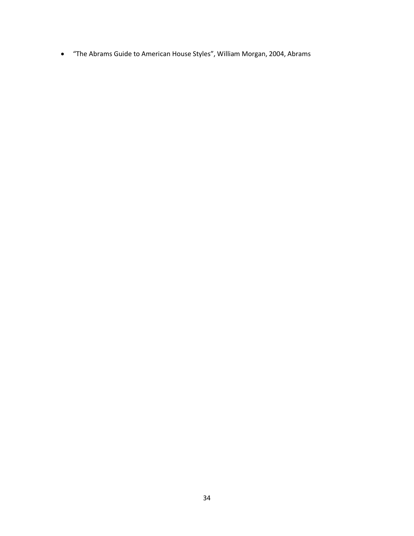· "The Abrams Guide to American House Styles", William Morgan, 2004, Abrams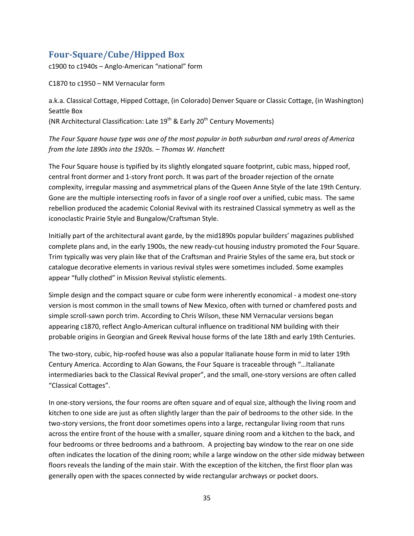# **Four-Square/Cube/Hipped Box**

c1900 to c1940s – Anglo-American "national" form

C1870 to c1950 – NM Vernacular form

a.k.a. Classical Cottage, Hipped Cottage, (in Colorado) Denver Square or Classic Cottage, (in Washington) Seattle Box (NR Architectural Classification: Late 19<sup>th</sup> & Early 20<sup>th</sup> Century Movements)

*The Four Square house type was one of the most popular in both suburban and rural areas of America from the late 1890s into the 1920s. – Thomas W. Hanchett*

The Four Square house is typified by its slightly elongated square footprint, cubic mass, hipped roof, central front dormer and 1-story front porch. It was part of the broader rejection of the ornate complexity, irregular massing and asymmetrical plans of the Queen Anne Style of the late 19th Century. Gone are the multiple intersecting roofs in favor of a single roof over a unified, cubic mass. The same rebellion produced the academic Colonial Revival with its restrained Classical symmetry as well as the iconoclastic Prairie Style and Bungalow/Craftsman Style.

Initially part of the architectural avant garde, by the mid1890s popular builders' magazines published complete plans and, in the early 1900s, the new ready-cut housing industry promoted the Four Square. Trim typically was very plain like that of the Craftsman and Prairie Styles of the same era, but stock or catalogue decorative elements in various revival styles were sometimes included. Some examples appear "fully clothed" in Mission Revival stylistic elements.

Simple design and the compact square or cube form were inherently economical - a modest one-story version is most common in the small towns of New Mexico, often with turned or chamfered posts and simple scroll-sawn porch trim. According to Chris Wilson, these NM Vernacular versions began appearing c1870, reflect Anglo-American cultural influence on traditional NM building with their probable origins in Georgian and Greek Revival house forms of the late 18th and early 19th Centuries.

The two-story, cubic, hip-roofed house was also a popular Italianate house form in mid to later 19th Century America. According to Alan Gowans, the Four Square is traceable through "…Italianate intermediaries back to the Classical Revival proper", and the small, one-story versions are often called "Classical Cottages".

In one-story versions, the four rooms are often square and of equal size, although the living room and kitchen to one side are just as often slightly larger than the pair of bedrooms to the other side. In the two-story versions, the front door sometimes opens into a large, rectangular living room that runs across the entire front of the house with a smaller, square dining room and a kitchen to the back, and four bedrooms or three bedrooms and a bathroom. A projecting bay window to the rear on one side often indicates the location of the dining room; while a large window on the other side midway between floors reveals the landing of the main stair. With the exception of the kitchen, the first floor plan was generally open with the spaces connected by wide rectangular archways or pocket doors.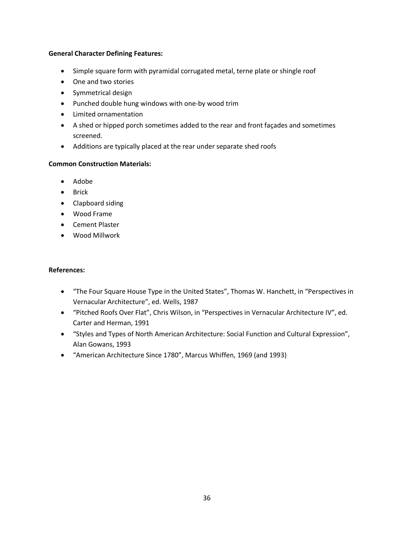#### **General Character Defining Features:**

- · Simple square form with pyramidal corrugated metal, terne plate or shingle roof
- · One and two stories
- · Symmetrical design
- · Punched double hung windows with one-by wood trim
- · Limited ornamentation
- · A shed or hipped porch sometimes added to the rear and front façades and sometimes screened.
- · Additions are typically placed at the rear under separate shed roofs

### **Common Construction Materials:**

- · Adobe
- · Brick
- · Clapboard siding
- · Wood Frame
- · Cement Plaster
- · Wood Millwork

- · "The Four Square House Type in the United States", Thomas W. Hanchett, in "Perspectives in Vernacular Architecture", ed. Wells, 1987
- · "Pitched Roofs Over Flat", Chris Wilson, in "Perspectives in Vernacular Architecture IV", ed. Carter and Herman, 1991
- · "Styles and Types of North American Architecture: Social Function and Cultural Expression", Alan Gowans, 1993
- · "American Architecture Since 1780", Marcus Whiffen, 1969 (and 1993)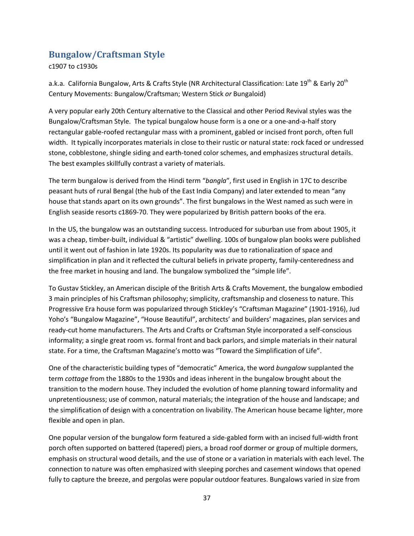# **Bungalow/Craftsman Style**

c1907 to c1930s

a.k.a. California Bungalow, Arts & Crafts Style (NR Architectural Classification: Late 19<sup>th</sup> & Early 20<sup>th</sup> Century Movements: Bungalow/Craftsman; Western Stick *or* Bungaloid)

A very popular early 20th Century alternative to the Classical and other Period Revival styles was the Bungalow/Craftsman Style. The typical bungalow house form is a one or a one-and-a-half story rectangular gable-roofed rectangular mass with a prominent, gabled or incised front porch, often full width. It typically incorporates materials in close to their rustic or natural state: rock faced or undressed stone, cobblestone, shingle siding and earth-toned color schemes, and emphasizes structural details. The best examples skillfully contrast a variety of materials.

The term bungalow is derived from the Hindi term "*bangla*", first used in English in 17C to describe peasant huts of rural Bengal (the hub of the East India Company) and later extended to mean "any house that stands apart on its own grounds". The first bungalows in the West named as such were in English seaside resorts c1869-70. They were popularized by British pattern books of the era.

In the US, the bungalow was an outstanding success. Introduced for suburban use from about 1905, it was a cheap, timber-built, individual & "artistic" dwelling. 100s of bungalow plan books were published until it went out of fashion in late 1920s. Its popularity was due to rationalization of space and simplification in plan and it reflected the cultural beliefs in private property, family-centeredness and the free market in housing and land. The bungalow symbolized the "simple life".

To Gustav Stickley, an American disciple of the British Arts & Crafts Movement, the bungalow embodied 3 main principles of his Craftsman philosophy; simplicity, craftsmanship and closeness to nature. This Progressive Era house form was popularized through Stickley's "Craftsman Magazine" (1901-1916), Jud Yoho's "Bungalow Magazine", "House Beautiful", architects' and builders' magazines, plan services and ready-cut home manufacturers. The Arts and Crafts or Craftsman Style incorporated a self-conscious informality; a single great room vs. formal front and back parlors, and simple materials in their natural state. For a time, the Craftsman Magazine's motto was "Toward the Simplification of Life".

One of the characteristic building types of "democratic" America, the word *bungalow* supplanted the term *cottage* from the 1880s to the 1930s and ideas inherent in the bungalow brought about the transition to the modern house. They included the evolution of home planning toward informality and unpretentiousness; use of common, natural materials; the integration of the house and landscape; and the simplification of design with a concentration on livability. The American house became lighter, more flexible and open in plan.

One popular version of the bungalow form featured a side-gabled form with an incised full-width front porch often supported on battered (tapered) piers, a broad roof dormer or group of multiple dormers, emphasis on structural wood details, and the use of stone or a variation in materials with each level. The connection to nature was often emphasized with sleeping porches and casement windows that opened fully to capture the breeze, and pergolas were popular outdoor features. Bungalows varied in size from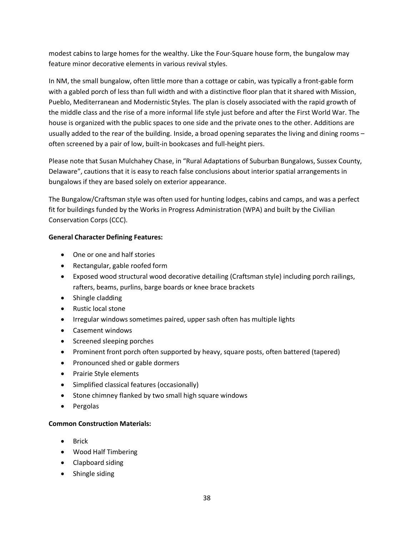modest cabins to large homes for the wealthy. Like the Four-Square house form, the bungalow may feature minor decorative elements in various revival styles.

In NM, the small bungalow, often little more than a cottage or cabin, was typically a front-gable form with a gabled porch of less than full width and with a distinctive floor plan that it shared with Mission, Pueblo, Mediterranean and Modernistic Styles. The plan is closely associated with the rapid growth of the middle class and the rise of a more informal life style just before and after the First World War. The house is organized with the public spaces to one side and the private ones to the other. Additions are usually added to the rear of the building. Inside, a broad opening separates the living and dining rooms – often screened by a pair of low, built-in bookcases and full-height piers.

Please note that Susan Mulchahey Chase, in "Rural Adaptations of Suburban Bungalows, Sussex County, Delaware", cautions that it is easy to reach false conclusions about interior spatial arrangements in bungalows if they are based solely on exterior appearance.

The Bungalow/Craftsman style was often used for hunting lodges, cabins and camps, and was a perfect fit for buildings funded by the Works in Progress Administration (WPA) and built by the Civilian Conservation Corps (CCC).

# **General Character Defining Features:**

- · One or one and half stories
- · Rectangular, gable roofed form
- · Exposed wood structural wood decorative detailing (Craftsman style) including porch railings, rafters, beams, purlins, barge boards or knee brace brackets
- · Shingle cladding
- · Rustic local stone
- · Irregular windows sometimes paired, upper sash often has multiple lights
- · Casement windows
- · Screened sleeping porches
- · Prominent front porch often supported by heavy, square posts, often battered (tapered)
- · Pronounced shed or gable dormers
- · Prairie Style elements
- · Simplified classical features (occasionally)
- · Stone chimney flanked by two small high square windows
- · Pergolas

# **Common Construction Materials:**

- · Brick
- · Wood Half Timbering
- · Clapboard siding
- Shingle siding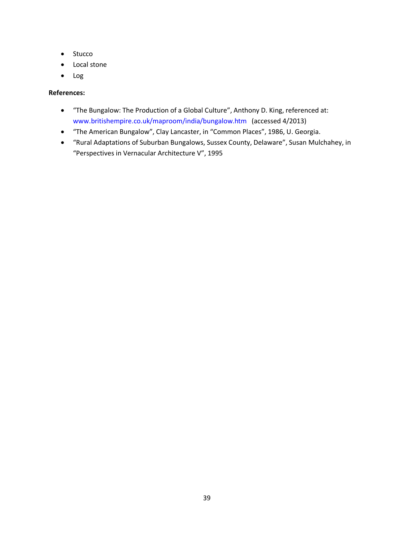- · Stucco
- · Local stone
- · Log

- · "The Bungalow: The Production of a Global Culture", Anthony D. King, referenced at: [www.britishempire.co.uk/maproom/india/bungalow.htm](http://www.britishempire.co.uk/maproom/india/bungalow.htm) (accessed 4/2013)
- · "The American Bungalow", Clay Lancaster, in "Common Places", 1986, U. Georgia.
- · "Rural Adaptations of Suburban Bungalows, Sussex County, Delaware", Susan Mulchahey, in "Perspectives in Vernacular Architecture V", 1995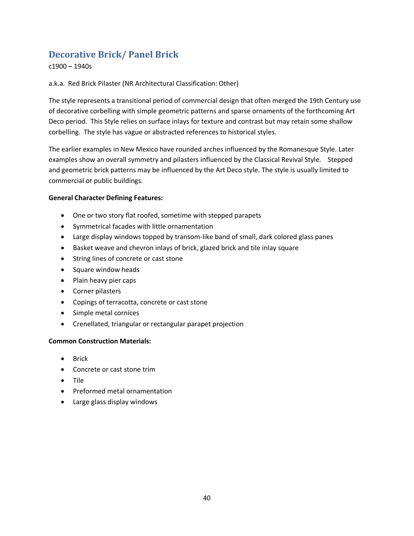# **Decorative Brick/ Panel Brick**

c1900 – 1940s

### a.k.a. Red Brick Pilaster (NR Architectural Classification: Other)

The style represents a transitional period of commercial design that often merged the 19th Century use of decorative corbelling with simple geometric patterns and sparse ornaments of the forthcoming Art Deco period. This Style relies on surface inlays for texture and contrast but may retain some shallow corbelling. The style has vague or abstracted references to historical styles.

The earlier examples in New Mexico have rounded arches influenced by the Romanesque Style. Later examples show an overall symmetry and pilasters influenced by the Classical Revival Style. Stepped and geometric brick patterns may be influenced by the Art Deco style. The style is usually limited to commercial or public buildings.

#### **General Character Defining Features:**

- · One or two story flat roofed, sometime with stepped parapets
- · Symmetrical facades with little ornamentation
- · Large display windows topped by transom-like band of small, dark colored glass panes
- · Basket weave and chevron inlays of brick, glazed brick and tile inlay square
- · String lines of concrete or cast stone
- · Square window heads
- · Plain heavy pier caps
- · Corner pilasters
- · Copings of terracotta, concrete or cast stone
- · Simple metal cornices
- · Crenellated, triangular or rectangular parapet projection

#### **Common Construction Materials:**

- · Brick
- · Concrete or cast stone trim
- · Tile
- · Preformed metal ornamentation
- · Large glass display windows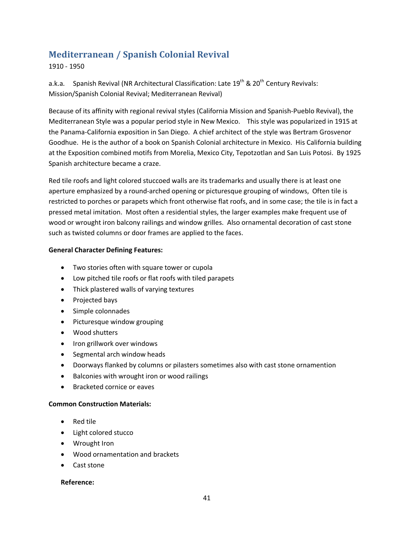# **Mediterranean / Spanish Colonial Revival**

### 1910 - 1950

a.k.a. Spanish Revival (NR Architectural Classification: Late  $19^{th}$  &  $20^{th}$  Century Revivals: Mission/Spanish Colonial Revival; Mediterranean Revival)

Because of its affinity with regional revival styles (California Mission and Spanish-Pueblo Revival), the Mediterranean Style was a popular period style in New Mexico. This style was popularized in 1915 at the Panama-California exposition in San Diego. A chief architect of the style was Bertram Grosvenor Goodhue. He is the author of a book on Spanish Colonial architecture in Mexico. His California building at the Exposition combined motifs from Morelia, Mexico City, Tepotzotlan and San Luis Potosi. By 1925 Spanish architecture became a craze.

Red tile roofs and light colored stuccoed walls are its trademarks and usually there is at least one aperture emphasized by a round-arched opening or picturesque grouping of windows, Often tile is restricted to porches or parapets which front otherwise flat roofs, and in some case; the tile is in fact a pressed metal imitation. Most often a residential styles, the larger examples make frequent use of wood or wrought iron balcony railings and window grilles. Also ornamental decoration of cast stone such as twisted columns or door frames are applied to the faces.

#### **General Character Defining Features:**

- · Two stories often with square tower or cupola
- · Low pitched tile roofs or flat roofs with tiled parapets
- · Thick plastered walls of varying textures
- · Projected bays
- · Simple colonnades
- · Picturesque window grouping
- · Wood shutters
- · Iron grillwork over windows
- · Segmental arch window heads
- · Doorways flanked by columns or pilasters sometimes also with cast stone ornamention
- · Balconies with wrought iron or wood railings
- · Bracketed cornice or eaves

#### **Common Construction Materials:**

- · Red tile
- · Light colored stucco
- · Wrought Iron
- · Wood ornamentation and brackets
- · Cast stone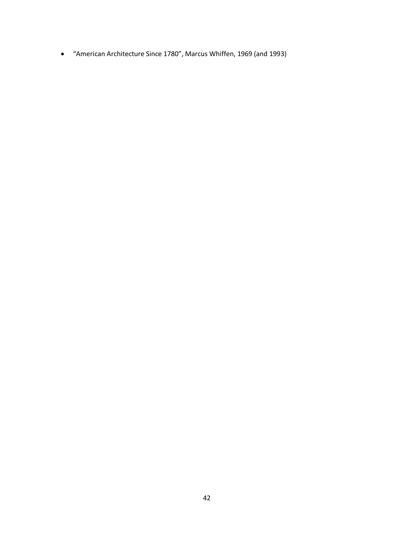· "American Architecture Since 1780", Marcus Whiffen, 1969 (and 1993)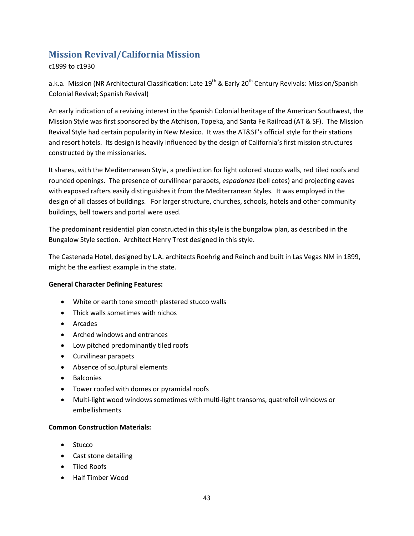# **Mission Revival/California Mission**

c1899 to c1930

a.k.a. Mission (NR Architectural Classification: Late 19<sup>th</sup> & Early 20<sup>th</sup> Century Revivals: Mission/Spanish Colonial Revival; Spanish Revival)

An early indication of a reviving interest in the Spanish Colonial heritage of the American Southwest, the Mission Style was first sponsored by the Atchison, Topeka, and Santa Fe Railroad (AT & SF). The Mission Revival Style had certain popularity in New Mexico. It was the AT&SF's official style for their stations and resort hotels. Its design is heavily influenced by the design of California's first mission structures constructed by the missionaries.

It shares, with the Mediterranean Style, a predilection for light colored stucco walls, red tiled roofs and rounded openings. The presence of curvilinear parapets, *espadanas* (bell cotes) and projecting eaves with exposed rafters easily distinguishes it from the Mediterranean Styles. It was employed in the design of all classes of buildings. For larger structure, churches, schools, hotels and other community buildings, bell towers and portal were used.

The predominant residential plan constructed in this style is the bungalow plan, as described in the Bungalow Style section. Architect Henry Trost designed in this style.

The Castenada Hotel, designed by L.A. architects Roehrig and Reinch and built in Las Vegas NM in 1899, might be the earliest example in the state.

# **General Character Defining Features:**

- · White or earth tone smooth plastered stucco walls
- · Thick walls sometimes with nichos
- · Arcades
- · Arched windows and entrances
- · Low pitched predominantly tiled roofs
- · Curvilinear parapets
- · Absence of sculptural elements
- · Balconies
- · Tower roofed with domes or pyramidal roofs
- · Multi-light wood windows sometimes with multi-light transoms, quatrefoil windows or embellishments

#### **Common Construction Materials:**

- Stucco
- · Cast stone detailing
- · Tiled Roofs
- · Half Timber Wood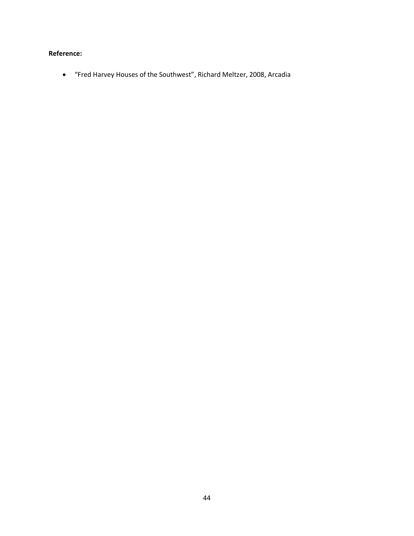# **Reference:**

· "Fred Harvey Houses of the Southwest", Richard Meltzer, 2008, Arcadia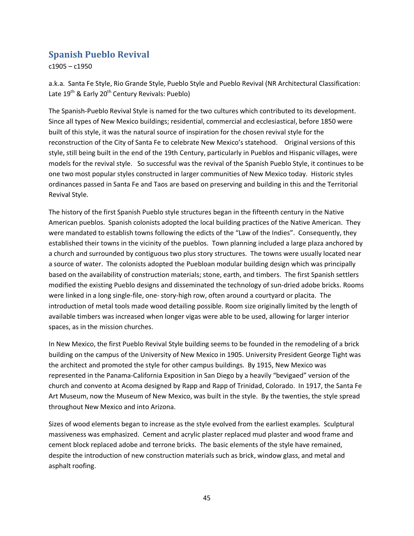# **Spanish Pueblo Revival**

c1905 – c1950

a.k.a. Santa Fe Style, Rio Grande Style, Pueblo Style and Pueblo Revival (NR Architectural Classification: Late  $19^{th}$  & Early  $20^{th}$  Century Revivals: Pueblo)

The Spanish-Pueblo Revival Style is named for the two cultures which contributed to its development. Since all types of New Mexico buildings; residential, commercial and ecclesiastical, before 1850 were built of this style, it was the natural source of inspiration for the chosen revival style for the reconstruction of the City of Santa Fe to celebrate New Mexico's statehood. Original versions of this style, still being built in the end of the 19th Century, particularly in Pueblos and Hispanic villages, were models for the revival style. So successful was the revival of the Spanish Pueblo Style, it continues to be one two most popular styles constructed in larger communities of New Mexico today. Historic styles ordinances passed in Santa Fe and Taos are based on preserving and building in this and the Territorial Revival Style.

The history of the first Spanish Pueblo style structures began in the fifteenth century in the Native American pueblos. Spanish colonists adopted the local building practices of the Native American. They were mandated to establish towns following the edicts of the "Law of the Indies". Consequently, they established their towns in the vicinity of the pueblos. Town planning included a large plaza anchored by a church and surrounded by contiguous two plus story structures. The towns were usually located near a source of water. The colonists adopted the Puebloan modular building design which was principally based on the availability of construction materials; stone, earth, and timbers. The first Spanish settlers modified the existing Pueblo designs and disseminated the technology of sun-dried adobe bricks. Rooms were linked in a long single-file, one- story-high row, often around a courtyard or placita. The introduction of metal tools made wood detailing possible. Room size originally limited by the length of available timbers was increased when longer vigas were able to be used, allowing for larger interior spaces, as in the mission churches.

In New Mexico, the first Pueblo Revival Style building seems to be founded in the remodeling of a brick building on the campus of the University of New Mexico in 1905. University President George Tight was the architect and promoted the style for other campus buildings. By 1915, New Mexico was represented in the Panama-California Exposition in San Diego by a heavily "bevigaed" version of the church and convento at Acoma designed by Rapp and Rapp of Trinidad, Colorado. In 1917, the Santa Fe Art Museum, now the Museum of New Mexico, was built in the style. By the twenties, the style spread throughout New Mexico and into Arizona.

Sizes of wood elements began to increase as the style evolved from the earliest examples. Sculptural massiveness was emphasized. Cement and acrylic plaster replaced mud plaster and wood frame and cement block replaced adobe and terrone bricks. The basic elements of the style have remained, despite the introduction of new construction materials such as brick, window glass, and metal and asphalt roofing.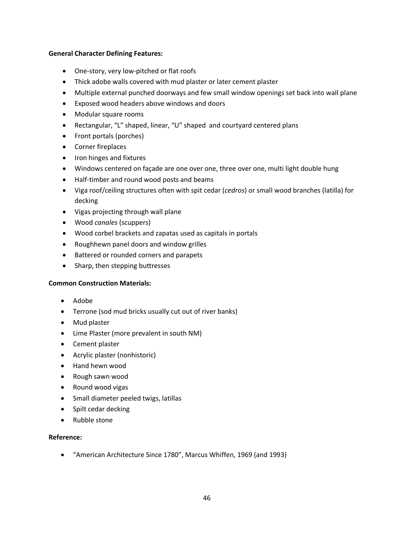#### **General Character Defining Features:**

- · One-story, very low-pitched or flat roofs
- · Thick adobe walls covered with mud plaster or later cement plaster
- · Multiple external punched doorways and few small window openings set back into wall plane
- · Exposed wood headers above windows and doors
- · Modular square rooms
- · Rectangular, "L" shaped, linear, "U" shaped and courtyard centered plans
- · Front portals (porches)
- · Corner fireplaces
- · Iron hinges and fixtures
- · Windows centered on façade are one over one, three over one, multi light double hung
- · Half-timber and round wood posts and beams
- · Viga roof/ceiling structures often with spit cedar (*cedros*) or small wood branches (latilla) for decking
- · Vigas projecting through wall plane
- · Wood *canales* (scuppers)
- · Wood corbel brackets and zapatas used as capitals in portals
- · Roughhewn panel doors and window grilles
- · Battered or rounded corners and parapets
- Sharp, then stepping buttresses

#### **Common Construction Materials:**

- · Adobe
- · Terrone (sod mud bricks usually cut out of river banks)
- · Mud plaster
- · Lime Plaster (more prevalent in south NM)
- · Cement plaster
- · Acrylic plaster (nonhistoric)
- · Hand hewn wood
- · Rough sawn wood
- · Round wood vigas
- · Small diameter peeled twigs, latillas
- · Spilt cedar decking
- · Rubble stone

#### **Reference:**

· "American Architecture Since 1780", Marcus Whiffen, 1969 (and 1993)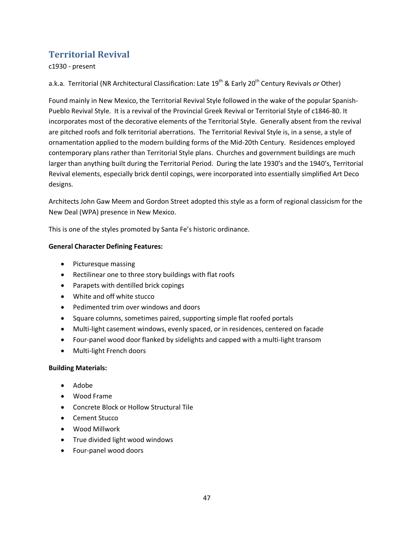# **Territorial Revival**

c1930 - present

a.k.a. Territorial (NR Architectural Classification: Late 19<sup>th</sup> & Early 20<sup>th</sup> Century Revivals *or* Other)

Found mainly in New Mexico, the Territorial Revival Style followed in the wake of the popular Spanish-Pueblo Revival Style. It is a revival of the Provincial Greek Revival or Territorial Style of c1846-80. It incorporates most of the decorative elements of the Territorial Style. Generally absent from the revival are pitched roofs and folk territorial aberrations. The Territorial Revival Style is, in a sense, a style of ornamentation applied to the modern building forms of the Mid-20th Century. Residences employed contemporary plans rather than Territorial Style plans. Churches and government buildings are much larger than anything built during the Territorial Period. During the late 1930's and the 1940's, Territorial Revival elements, especially brick dentil copings, were incorporated into essentially simplified Art Deco designs.

Architects John Gaw Meem and Gordon Street adopted this style as a form of regional classicism for the New Deal (WPA) presence in New Mexico.

This is one of the styles promoted by Santa Fe's historic ordinance.

### **General Character Defining Features:**

- · Picturesque massing
- · Rectilinear one to three story buildings with flat roofs
- · Parapets with dentilled brick copings
- · White and off white stucco
- · Pedimented trim over windows and doors
- · Square columns, sometimes paired, supporting simple flat roofed portals
- · Multi-light casement windows, evenly spaced, or in residences, centered on facade
- · Four-panel wood door flanked by sidelights and capped with a multi-light transom
- · Multi-light French doors

#### **Building Materials:**

- · Adobe
- · Wood Frame
- · Concrete Block or Hollow Structural Tile
- · Cement Stucco
- · Wood Millwork
- · True divided light wood windows
- · Four-panel wood doors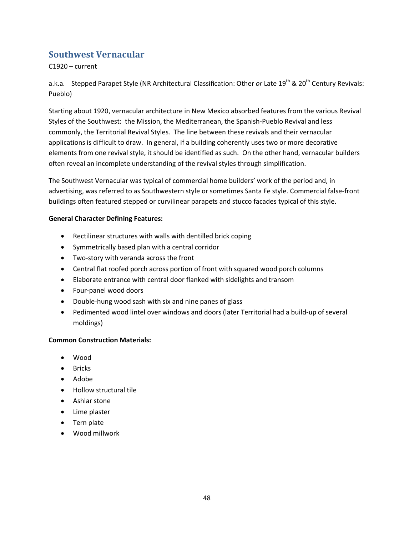# **Southwest Vernacular**

C1920 – current

a.k.a. Stepped Parapet Style (NR Architectural Classification: Other *or* Late 19<sup>th</sup> & 20<sup>th</sup> Century Revivals: Pueblo)

Starting about 1920, vernacular architecture in New Mexico absorbed features from the various Revival Styles of the Southwest: the Mission, the Mediterranean, the Spanish-Pueblo Revival and less commonly, the Territorial Revival Styles. The line between these revivals and their vernacular applications is difficult to draw. In general, if a building coherently uses two or more decorative elements from one revival style, it should be identified as such. On the other hand, vernacular builders often reveal an incomplete understanding of the revival styles through simplification.

The Southwest Vernacular was typical of commercial home builders' work of the period and, in advertising, was referred to as Southwestern style or sometimes Santa Fe style. Commercial false-front buildings often featured stepped or curvilinear parapets and stucco facades typical of this style.

### **General Character Defining Features:**

- · Rectilinear structures with walls with dentilled brick coping
- · Symmetrically based plan with a central corridor
- · Two-story with veranda across the front
- · Central flat roofed porch across portion of front with squared wood porch columns
- · Elaborate entrance with central door flanked with sidelights and transom
- · Four-panel wood doors
- · Double-hung wood sash with six and nine panes of glass
- · Pedimented wood lintel over windows and doors (later Territorial had a build-up of several moldings)

#### **Common Construction Materials:**

- · Wood
- · Bricks
- · Adobe
- · Hollow structural tile
- · Ashlar stone
- · Lime plaster
- · Tern plate
- · Wood millwork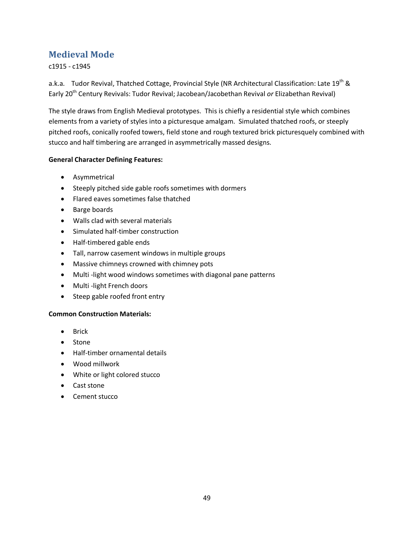# **Medieval Mode**

c1915 - c1945

a.k.a. Tudor Revival, Thatched Cottage, Provincial Style (NR Architectural Classification: Late 19<sup>th</sup> & Early 20th Century Revivals: Tudor Revival; Jacobean/Jacobethan Revival *or* Elizabethan Revival)

The style draws from English Medieval prototypes. This is chiefly a residential style which combines elements from a variety of styles into a picturesque amalgam. Simulated thatched roofs, or steeply pitched roofs, conically roofed towers, field stone and rough textured brick picturesquely combined with stucco and half timbering are arranged in asymmetrically massed designs.

### **General Character Defining Features:**

- · Asymmetrical
- · Steeply pitched side gable roofs sometimes with dormers
- · Flared eaves sometimes false thatched
- · Barge boards
- · Walls clad with several materials
- · Simulated half-timber construction
- · Half-timbered gable ends
- · Tall, narrow casement windows in multiple groups
- · Massive chimneys crowned with chimney pots
- · Multi -light wood windows sometimes with diagonal pane patterns
- · Multi -light French doors
- · Steep gable roofed front entry

# **Common Construction Materials:**

- · Brick
- · Stone
- · Half-timber ornamental details
- · Wood millwork
- · White or light colored stucco
- · Cast stone
- · Cement stucco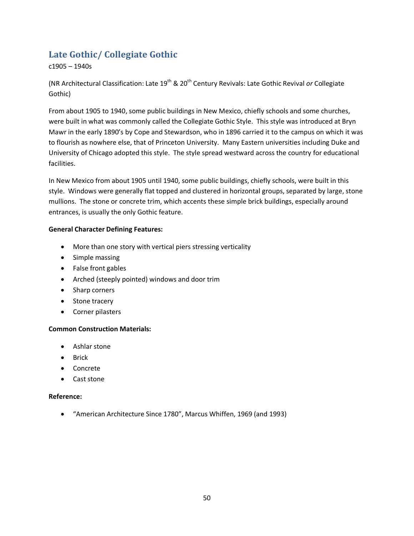# **Late Gothic/ Collegiate Gothic**

c1905 – 1940s

(NR Architectural Classification: Late 19th & 20th Century Revivals: Late Gothic Revival *or* Collegiate Gothic)

From about 1905 to 1940, some public buildings in New Mexico, chiefly schools and some churches, were built in what was commonly called the Collegiate Gothic Style. This style was introduced at Bryn Mawr in the early 1890's by Cope and Stewardson, who in 1896 carried it to the campus on which it was to flourish as nowhere else, that of Princeton University. Many Eastern universities including Duke and University of Chicago adopted this style. The style spread westward across the country for educational facilities.

In New Mexico from about 1905 until 1940, some public buildings, chiefly schools, were built in this style. Windows were generally flat topped and clustered in horizontal groups, separated by large, stone mullions. The stone or concrete trim, which accents these simple brick buildings, especially around entrances, is usually the only Gothic feature.

### **General Character Defining Features:**

- · More than one story with vertical piers stressing verticality
- · Simple massing
- · False front gables
- · Arched (steeply pointed) windows and door trim
- · Sharp corners
- Stone tracery
- · Corner pilasters

#### **Common Construction Materials:**

- · Ashlar stone
- · Brick
- · Concrete
- · Cast stone

#### **Reference:**

· "American Architecture Since 1780", Marcus Whiffen, 1969 (and 1993)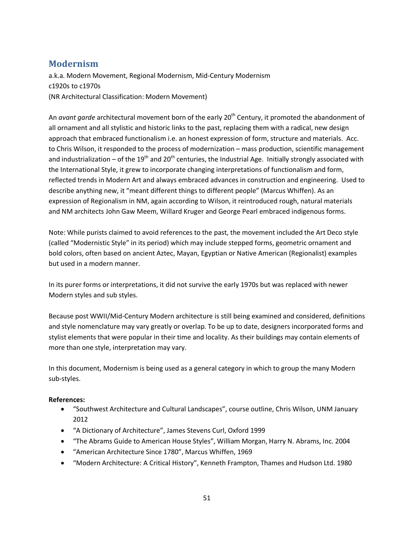# **Modernism**

a.k.a. Modern Movement, Regional Modernism, Mid-Century Modernism c1920s to c1970s (NR Architectural Classification: Modern Movement)

An *avant garde* architectural movement born of the early 20<sup>th</sup> Century, it promoted the abandonment of all ornament and all stylistic and historic links to the past, replacing them with a radical, new design approach that embraced functionalism i.e. an honest expression of form, structure and materials. Acc. to Chris Wilson, it responded to the process of modernization – mass production, scientific management and industrialization – of the 19<sup>th</sup> and 20<sup>th</sup> centuries, the Industrial Age. Initially strongly associated with the International Style, it grew to incorporate changing interpretations of functionalism and form, reflected trends in Modern Art and always embraced advances in construction and engineering. Used to describe anything new, it "meant different things to different people" (Marcus Whiffen). As an expression of Regionalism in NM, again according to Wilson, it reintroduced rough, natural materials and NM architects John Gaw Meem, Willard Kruger and George Pearl embraced indigenous forms.

Note: While purists claimed to avoid references to the past, the movement included the Art Deco style (called "Modernistic Style" in its period) which may include stepped forms, geometric ornament and bold colors, often based on ancient Aztec, Mayan, Egyptian or Native American (Regionalist) examples but used in a modern manner.

In its purer forms or interpretations, it did not survive the early 1970s but was replaced with newer Modern styles and sub styles.

Because post WWII/Mid-Century Modern architecture is still being examined and considered, definitions and style nomenclature may vary greatly or overlap. To be up to date, designers incorporated forms and stylist elements that were popular in their time and locality. As their buildings may contain elements of more than one style, interpretation may vary.

In this document, Modernism is being used as a general category in which to group the many Modern sub-styles.

- · "Southwest Architecture and Cultural Landscapes", course outline, Chris Wilson, UNM January 2012
- · "A Dictionary of Architecture", James Stevens Curl, Oxford 1999
- · "The Abrams Guide to American House Styles", William Morgan, Harry N. Abrams, Inc. 2004
- · "American Architecture Since 1780", Marcus Whiffen, 1969
- · "Modern Architecture: A Critical History", Kenneth Frampton, Thames and Hudson Ltd. 1980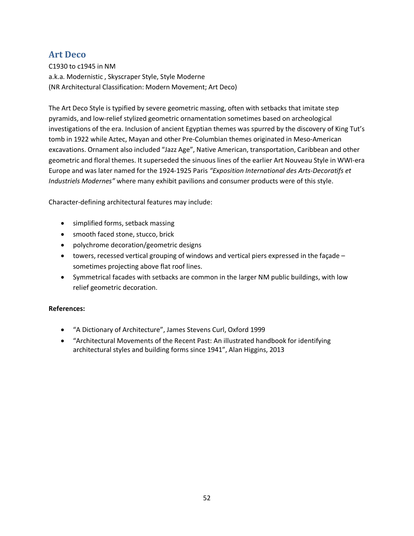# **Art Deco**

C1930 to c1945 in NM a.k.a. Modernistic , Skyscraper Style, Style Moderne (NR Architectural Classification: Modern Movement; Art Deco)

The Art Deco Style is typified by severe geometric massing, often with setbacks that imitate step pyramids, and low-relief stylized geometric ornamentation sometimes based on archeological investigations of the era. Inclusion of ancient Egyptian themes was spurred by the discovery of King Tut's tomb in 1922 while Aztec, Mayan and other Pre-Columbian themes originated in Meso-American excavations. Ornament also included "Jazz Age", Native American, transportation, Caribbean and other geometric and floral themes. It superseded the sinuous lines of the earlier Art Nouveau Style in WWI-era Europe and was later named for the 1924-1925 Paris *"Exposition International des Arts-Decoratifs et Industriels Modernes"* where many exhibit pavilions and consumer products were of this style.

Character-defining architectural features may include:

- · simplified forms, setback massing
- · smooth faced stone, stucco, brick
- · polychrome decoration/geometric designs
- towers, recessed vertical grouping of windows and vertical piers expressed in the façade sometimes projecting above flat roof lines.
- · Symmetrical facades with setbacks are common in the larger NM public buildings, with low relief geometric decoration.

- · "A Dictionary of Architecture", James Stevens Curl, Oxford 1999
- · "Architectural Movements of the Recent Past: An illustrated handbook for identifying architectural styles and building forms since 1941", Alan Higgins, 2013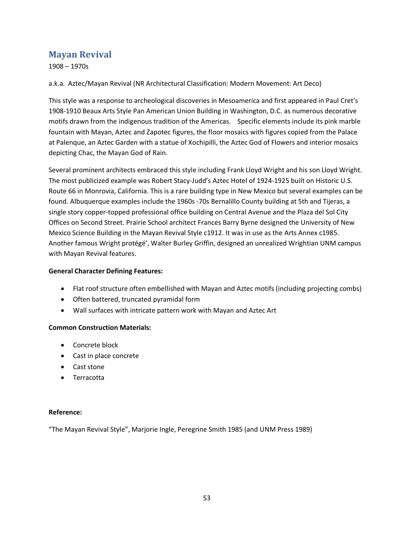# **Mayan Revival**

1908 – 1970s

a.k.a. Aztec/Mayan Revival (NR Architectural Classification: Modern Movement: Art Deco)

This style was a response to archeological discoveries in Mesoamerica and first appeared in Paul Cret's 1908-1910 Beaux Arts Style Pan American Union Building in Washington, D.C. as numerous decorative motifs drawn from the indigenous tradition of the Americas. Specific elements include its pink marble fountain with Mayan, Aztec and Zapotec figures, the floor mosaics with figures copied from the Palace at Palenque, an Aztec Garden with a statue of Xochipilli, the Aztec God of Flowers and interior mosaics depicting Chac, the Mayan God of Rain.

Several prominent architects embraced this style including Frank Lloyd Wright and his son Lloyd Wright. The most publicized example was Robert Stacy-Judd's Aztec Hotel of 1924-1925 built on Historic U.S. Route 66 in Monrovia, California. This is a rare building type in New Mexico but several examples can be found. Albuquerque examples include the 1960s -70s Bernalillo County building at 5th and Tijeras, a single story copper-topped professional office building on Central Avenue and the Plaza del Sol City Offices on Second Street. Prairie School architect Frances Barry Byrne designed the University of New Mexico Science Building in the Mayan Revival Style c1912. It was in use as the Arts Annex c1985. Another famous Wright protégé', Walter Burley Griffin, designed an unrealized Wrightian UNM campus with Mayan Revival features.

#### **General Character Defining Features:**

- · Flat roof structure often embellished with Mayan and Aztec motifs (including projecting combs)
- · Often battered, truncated pyramidal form
- · Wall surfaces with intricate pattern work with Mayan and Aztec Art

#### **Common Construction Materials:**

- · Concrete block
- · Cast in place concrete
- · Cast stone
- · Terracotta

#### **Reference:**

"The Mayan Revival Style", Marjorie Ingle, Peregrine Smith 1985 (and UNM Press 1989)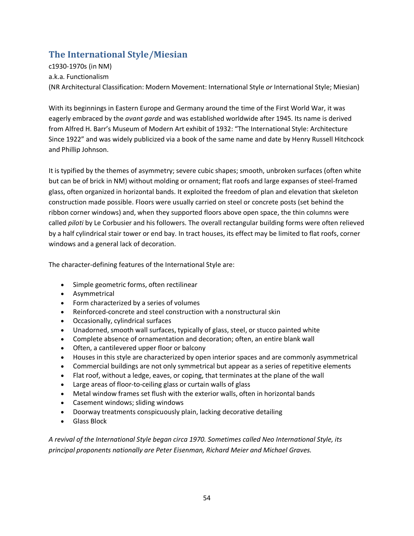# **The International Style/Miesian**

c1930-1970s (in NM) a.k.a. Functionalism (NR Architectural Classification: Modern Movement: International Style *or* International Style; Miesian)

With its beginnings in Eastern Europe and Germany around the time of the First World War, it was eagerly embraced by the *avant garde* and was established worldwide after 1945. Its name is derived from Alfred H. Barr's Museum of Modern Art exhibit of 1932: "The International Style: Architecture Since 1922" and was widely publicized via a book of the same name and date by Henry Russell Hitchcock and Phillip Johnson.

It is typified by the themes of asymmetry; severe cubic shapes; smooth, unbroken surfaces (often white but can be of brick in NM) without molding or ornament; flat roofs and large expanses of steel-framed glass, often organized in horizontal bands. It exploited the freedom of plan and elevation that skeleton construction made possible. Floors were usually carried on steel or concrete posts (set behind the ribbon corner windows) and, when they supported floors above open space, the thin columns were called *piloti* by Le Corbusier and his followers. The overall rectangular building forms were often relieved by a half cylindrical stair tower or end bay. In tract houses, its effect may be limited to flat roofs, corner windows and a general lack of decoration.

The character-defining features of the International Style are:

- · Simple geometric forms, often rectilinear
- · Asymmetrical
- · Form characterized by a series of volumes
- · [Reinforced-concrete](http://recentpastnation.org/?page_id=941) and [steel construction](http://recentpastnation.org/?page_id=1004) with a nonstructural skin
- · Occasionally, cylindrical surfaces
- · Unadorned, smooth wall surfaces, typically of glass, steel, or stucco painted white
- · Complete absence of ornamentation and decoration; often, an entire blank wall
- · Often, a [cantilevered](http://recentpastnation.org/?page_id=644) upper floor or balcony
- · Houses in this style are characterized by open interior spaces and are commonly asymmetrical
- · Commercial buildings are not only symmetrical but appear as a series of repetitive elements
- · [Flat roof,](http://recentpastnation.org/?page_id=789) without a ledge, eaves, or coping, that terminates at the plane of the wall
- · Large areas of floor-to-ceiling glass or [curtain walls](http://recentpastnation.org/?page_id=716) of glass
- · Metal window frames set flush with the exterior walls, often in horizontal bands
- · Casement windows; sliding windows
- · Doorway treatments conspicuously plain, lacking decorative detailing
- · Glass Block

*A revival of the International Style began circa 1970. Sometimes called Neo International Style, its principal proponents nationally are Peter Eisenman, Richard Meier and Michael Graves.*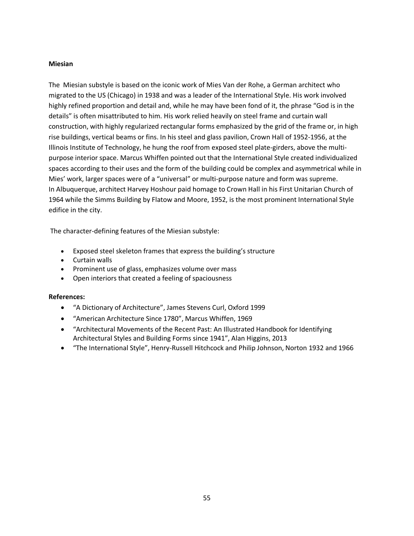#### **Miesian**

The Miesian substyle is based on the iconic work of Mies Van der Rohe, a German architect who migrated to the US (Chicago) in 1938 and was a leader of the International Style. His work involved highly refined proportion and detail and, while he may have been fond of it, the phrase "God is in the details" is often misattributed to him. His work relied heavily on steel frame and curtain wall construction, with highly regularized rectangular forms emphasized by the grid of the frame or, in high rise buildings, vertical beams or fins. In his steel and glass pavilion, Crown Hall of 1952-1956, at the Illinois Institute of Technology, he hung the roof from exposed steel plate-girders, above the multipurpose interior space. Marcus Whiffen pointed out that the International Style created individualized spaces according to their uses and the form of the building could be complex and asymmetrical while in Mies' work, larger spaces were of a "universal" or multi-purpose nature and form was supreme. In Albuquerque, architect Harvey Hoshour paid homage to Crown Hall in his First Unitarian Church of 1964 while the Simms Building by Flatow and Moore, 1952, is the most prominent International Style edifice in the city.

The character-defining features of the Miesian substyle:

- · Exposed steel skeleton frames that express the building's structure
- · Curtain walls
- · Prominent use of glass, emphasizes volume over mass
- · Open interiors that created a feeling of spaciousness

- · "A Dictionary of Architecture", James Stevens Curl, Oxford 1999
- · "American Architecture Since 1780", Marcus Whiffen, 1969
- · "Architectural Movements of the Recent Past: An Illustrated Handbook for Identifying Architectural Styles and Building Forms since 1941", Alan Higgins, 2013
- · "The International Style", Henry-Russell Hitchcock and Philip Johnson, Norton 1932 and 1966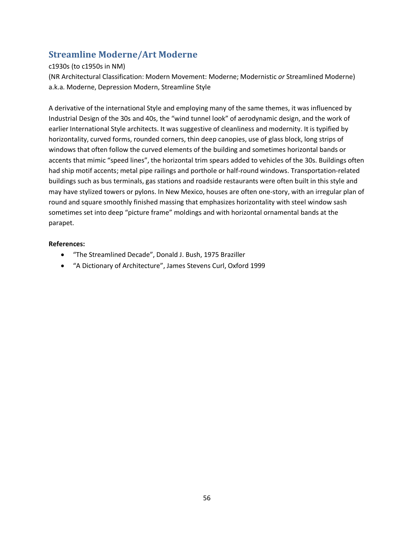# **Streamline Moderne/Art Moderne**

# c1930s (to c1950s in NM)

(NR Architectural Classification: Modern Movement: Moderne; Modernistic *or* Streamlined Moderne) a.k.a. Moderne, Depression Modern, Streamline Style

A derivative of the international Style and employing many of the same themes, it was influenced by Industrial Design of the 30s and 40s, the "wind tunnel look" of aerodynamic design, and the work of earlier International Style architects. It was suggestive of cleanliness and modernity. It is typified by horizontality, curved forms, rounded corners, thin deep canopies, use of glass block, long strips of windows that often follow the curved elements of the building and sometimes horizontal bands or accents that mimic "speed lines", the horizontal trim spears added to vehicles of the 30s. Buildings often had ship motif accents; metal pipe railings and porthole or half-round windows. Transportation-related buildings such as bus terminals, gas stations and roadside restaurants were often built in this style and may have stylized towers or pylons. In New Mexico, houses are often one-story, with an irregular plan of round and square smoothly finished massing that emphasizes horizontality with steel window sash sometimes set into deep "picture frame" moldings and with horizontal ornamental bands at the parapet.

- · "The Streamlined Decade", Donald J. Bush, 1975 Braziller
- · "A Dictionary of Architecture", James Stevens Curl, Oxford 1999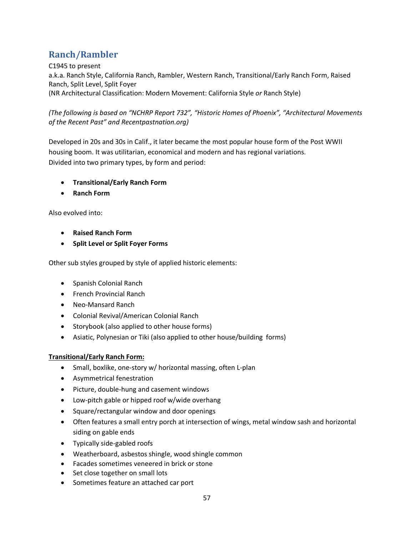# **Ranch/Rambler**

C1945 to present

a.k.a. Ranch Style, California Ranch, Rambler, Western Ranch, Transitional/Early Ranch Form, Raised Ranch, Split Level, Split Foyer (NR Architectural Classification: Modern Movement: California Style *or* Ranch Style)

*(The following is based on "NCHRP Report 732", "Historic Homes of Phoenix", "Architectural Movements of the Recent Past" and Recentpastnation.org)*

Developed in 20s and 30s in Calif., it later became the most popular house form of the Post WWII housing boom. It was utilitarian, economical and modern and has regional variations. Divided into two primary types, by form and period:

- · **Transitional/Early Ranch Form**
- · **Ranch Form**

Also evolved into:

- · **Raised Ranch Form**
- · **Split Level or Split Foyer Forms**

Other sub styles grouped by style of applied historic elements:

- · Spanish Colonial Ranch
- · French Provincial Ranch
- · Neo-Mansard Ranch
- · Colonial Revival/American Colonial Ranch
- · Storybook (also applied to other house forms)
- · Asiatic, Polynesian or Tiki (also applied to other house/building forms)

# **Transitional/Early Ranch Form:**

- Small, boxlike, one-story w/ horizontal massing, often L-plan
- · Asymmetrical fenestration
- · Picture, double-hung and casement windows
- · Low-pitch gable or hipped roof w/wide overhang
- · Square/rectangular window and door openings
- · Often features a small entry porch at intersection of wings, metal window sash and horizontal siding on gable ends
- · Typically side-gabled roofs
- · Weatherboard, asbestos shingle, wood shingle common
- · Facades sometimes veneered in brick or stone
- Set close together on small lots
- · Sometimes feature an attached car port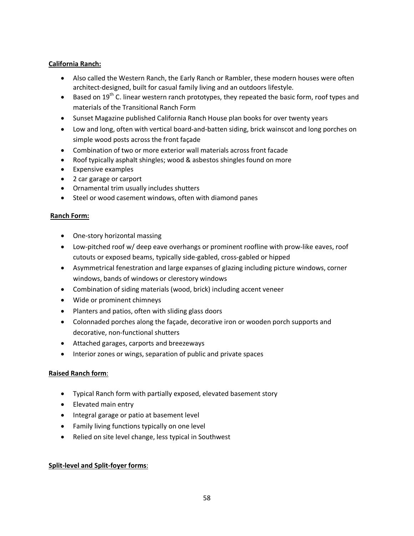### **California Ranch:**

- · Also called the Western Ranch, the Early Ranch or Rambler, these modern houses were often architect-designed, built for casual family living and an outdoors lifestyle.
- $\bullet$  Based on 19<sup>th</sup> C. linear western ranch prototypes, they repeated the basic form, roof types and materials of the Transitional Ranch Form
- · Sunset Magazine published California Ranch House plan books for over twenty years
- · Low and long, often with vertical board-and-batten siding, brick wainscot and long porches on simple wood posts across the front façade
- · Combination of two or more exterior wall materials across front facade
- · Roof typically asphalt shingles; wood & asbestos shingles found on more
- · Expensive examples
- · 2 car garage or carport
- · Ornamental trim usually includes shutters
- · Steel or wood casement windows, often with diamond panes

### **Ranch Form:**

- · One-story horizontal massing
- · Low-pitched roof w/ deep eave overhangs or prominent roofline with prow-like eaves, roof cutouts or exposed beams, typically side-gabled, cross-gabled or hipped
- · Asymmetrical fenestration and large expanses of glazing including picture windows, corner windows, bands of windows or clerestory windows
- · Combination of siding materials (wood, brick) including accent veneer
- · Wide or prominent chimneys
- · Planters and patios, often with sliding glass doors
- · Colonnaded porches along the façade, decorative iron or wooden porch supports and decorative, non-functional shutters
- · Attached garages, carports and breezeways
- · Interior zones or wings, separation of public and private spaces

#### **Raised Ranch form**:

- · Typical Ranch form with partially exposed, elevated basement story
- · Elevated main entry
- · Integral garage or patio at basement level
- · Family living functions typically on one level
- · Relied on site level change, less typical in Southwest

# **Split-level and Split-foyer forms**: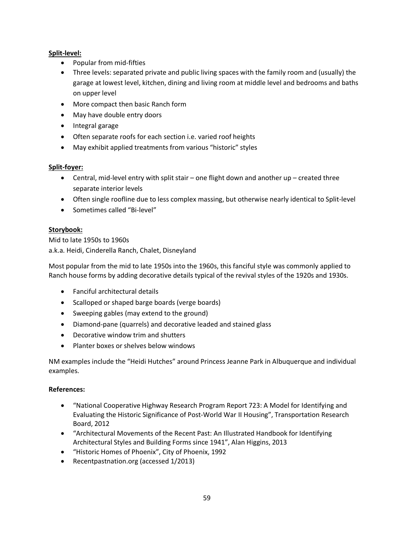# **Split-level:**

- · Popular from mid-fifties
- · Three levels: separated private and public living spaces with the family room and (usually) the garage at lowest level, kitchen, dining and living room at middle level and bedrooms and baths on upper level
- · More compact then basic Ranch form
- · May have double entry doors
- · Integral garage
- · Often separate roofs for each section i.e. varied roof heights
- · May exhibit applied treatments from various "historic" styles

### **Split-foyer:**

- · Central, mid-level entry with split stair one flight down and another up created three separate interior levels
- · Often single roofline due to less complex massing, but otherwise nearly identical to Split-level
- · Sometimes called "Bi-level"

### **Storybook:**

Mid to late 1950s to 1960s a.k.a. Heidi, Cinderella Ranch, Chalet, Disneyland

Most popular from the mid to late 1950s into the 1960s, this fanciful style was commonly applied to Ranch house forms by adding decorative details typical of the revival styles of the 1920s and 1930s.

- · Fanciful architectural details
- · Scalloped or shaped barge boards (verge boards)
- · Sweeping gables (may extend to the ground)
- · Diamond-pane (quarrels) and decorative leaded and stained glass
- · Decorative window trim and shutters
- · Planter boxes or shelves below windows

NM examples include the "Heidi Hutches" around Princess Jeanne Park in Albuquerque and individual examples.

- · "National Cooperative Highway Research Program Report 723: A Model for Identifying and Evaluating the Historic Significance of Post-World War II Housing", Transportation Research Board, 2012
- · "Architectural Movements of the Recent Past: An Illustrated Handbook for Identifying Architectural Styles and Building Forms since 1941", Alan Higgins, 2013
- · "Historic Homes of Phoenix", City of Phoenix, 1992
- · Recentpastnation.org (accessed 1/2013)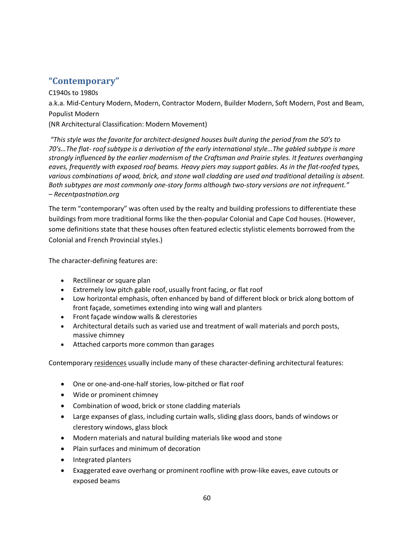# **"Contemporary"**

C1940s to 1980s a.k.a. Mid-Century Modern, Modern, Contractor Modern, Builder Modern, Soft Modern, Post and Beam, Populist Modern (NR Architectural Classification: Modern Movement)

*"This style was the favorite for architect-designed houses built during the period from the 50's to 70's…The flat- roof subtype is a derivation of the early international style…The gabled subtype is more strongly influenced by the earlier modernism of the Craftsman and Prairie styles. It features overhanging eaves, frequently with exposed roof beams. Heavy piers may support gables. As in the flat-roofed types, various combinations of wood, brick, and stone wall cladding are used and traditional detailing is absent. Both subtypes are most commonly one-story forms although two-story versions are not infrequent." – Recentpastnation.org*

The term "contemporary" was often used by the realty and building professions to differentiate these buildings from more traditional forms like the then-popular Colonial and Cape Cod houses. (However, some definitions state that these houses often featured eclectic stylistic elements borrowed from the Colonial and French Provincial styles.)

The character-defining features are:

- · Rectilinear or square plan
- · Extremely low pitch gable roof, usually front facing, or flat roof
- · Low horizontal emphasis, often enhanced by band of different block or brick along bottom of front façade, sometimes extending into wing wall and planters
- · Front façade window walls & clerestories
- · Architectural details such as varied use and treatment of wall materials and porch posts, massive chimney
- · Attached carports more common than garages

Contemporary residences usually include many of these character-defining architectural features:

- · One or one-and-one-half stories, low-pitched or flat roof
- · Wide or prominent chimney
- · Combination of wood, brick or stone cladding materials
- · Large expanses of glass, including curtain walls, sliding glass doors, bands of windows or clerestory windows, glass block
- · Modern materials and natural building materials like wood and stone
- · Plain surfaces and minimum of decoration
- · Integrated planters
- · Exaggerated eave overhang or prominent roofline with prow-like eaves, eave cutouts or exposed beams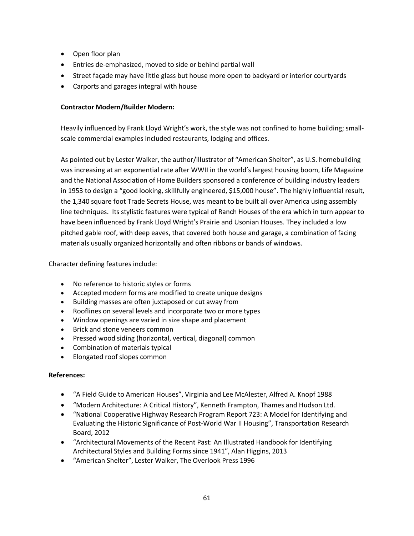- · Open floor plan
- · Entries de-emphasized, moved to side or behind partial wall
- · Street façade may have little glass but house more open to backyard or interior courtyards
- · Carports and garages integral with house

### **Contractor Modern/Builder Modern:**

Heavily influenced by Frank Lloyd Wright's work, the style was not confined to home building; smallscale commercial examples included restaurants, lodging and offices.

As pointed out by Lester Walker, the author/illustrator of "American Shelter", as U.S. homebuilding was increasing at an exponential rate after WWII in the world's largest housing boom, Life Magazine and the National Association of Home Builders sponsored a conference of building industry leaders in 1953 to design a "good looking, skillfully engineered, \$15,000 house". The highly influential result, the 1,340 square foot Trade Secrets House, was meant to be built all over America using assembly line techniques. Its stylistic features were typical of Ranch Houses of the era which in turn appear to have been influenced by Frank Lloyd Wright's Prairie and Usonian Houses. They included a low pitched gable roof, with deep eaves, that covered both house and garage, a combination of facing materials usually organized horizontally and often ribbons or bands of windows.

Character defining features include:

- · No reference to historic styles or forms
- · Accepted modern forms are modified to create unique designs
- · Building masses are often juxtaposed or cut away from
- · Rooflines on several levels and incorporate two or more types
- · Window openings are varied in size shape and placement
- · Brick and stone veneers common
- · Pressed wood siding (horizontal, vertical, diagonal) common
- · Combination of materials typical
- · Elongated roof slopes common

- · "A Field Guide to American Houses", Virginia and Lee McAlester, Alfred A. Knopf 1988
- · "Modern Architecture: A Critical History", Kenneth Frampton, Thames and Hudson Ltd.
- · "National Cooperative Highway Research Program Report 723: A Model for Identifying and Evaluating the Historic Significance of Post-World War II Housing", Transportation Research Board, 2012
- · "Architectural Movements of the Recent Past: An Illustrated Handbook for Identifying Architectural Styles and Building Forms since 1941", Alan Higgins, 2013
- · "American Shelter", Lester Walker, The Overlook Press 1996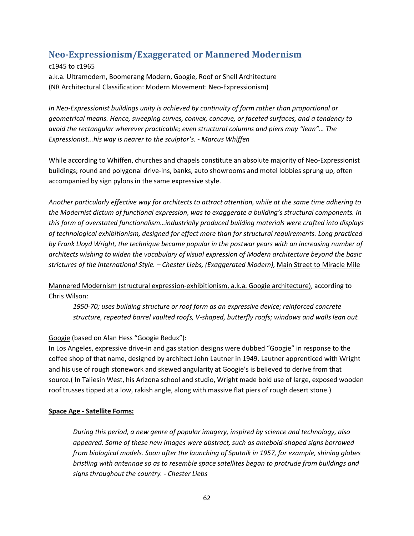# **Neo-Expressionism/Exaggerated or Mannered Modernism**

### c1945 to c1965

a.k.a. Ultramodern, Boomerang Modern, Googie, Roof or Shell Architecture (NR Architectural Classification: Modern Movement: Neo-Expressionism)

*In Neo-Expressionist buildings unity is achieved by continuity of form rather than proportional or geometrical means. Hence, sweeping curves, convex, concave, or faceted surfaces, and a tendency to avoid the rectangular wherever practicable; even structural columns and piers may "lean"… The Expressionist...his way is nearer to the sculptor's. - Marcus Whiffen*

While according to Whiffen, churches and chapels constitute an absolute majority of Neo-Expressionist buildings; round and polygonal drive-ins, banks, auto showrooms and motel lobbies sprung up, often accompanied by sign pylons in the same expressive style.

*Another particularly effective way for architects to attract attention, while at the same time adhering to the Modernist dictum of functional expression, was to exaggerate a building's structural components. In this form of overstated functionalism…industrially produced building materials were crafted into displays of technological exhibitionism, designed for effect more than for structural requirements. Long practiced by Frank Lloyd Wright, the technique became popular in the postwar years with an increasing number of architects wishing to widen the vocabulary of visual expression of Modern architecture beyond the basic strictures of the International Style. – Chester Liebs, (Exaggerated Modern),* Main Street to Miracle Mile

Mannered Modernism (structural expression-exhibitionism, a.k.a. Googie architecture), according to Chris Wilson:

*1950-70; uses building structure or roof form as an expressive device; reinforced concrete structure, repeated barrel vaulted roofs, V-shaped, butterfly roofs; windows and walls lean out.*

# Googie (based on Alan Hess "Googie Redux"):

In Los Angeles, expressive drive-in and gas station designs were dubbed "Googie" in response to the coffee shop of that name, designed by architect John Lautner in 1949. Lautner apprenticed with Wright and his use of rough stonework and skewed angularity at Googie's is believed to derive from that source.( In Taliesin West, his Arizona school and studio, Wright made bold use of large, exposed wooden roof trusses tipped at a low, rakish angle, along with massive flat piers of rough desert stone.)

# **Space Age - Satellite Forms:**

*During this period, a new genre of popular imagery, inspired by science and technology, also appeared. Some of these new images were abstract, such as ameboid-shaped signs borrowed from biological models. Soon after the launching of Sputnik in 1957, for example, shining globes bristling with antennae so as to resemble space satellites began to protrude from buildings and signs throughout the country. - Chester Liebs*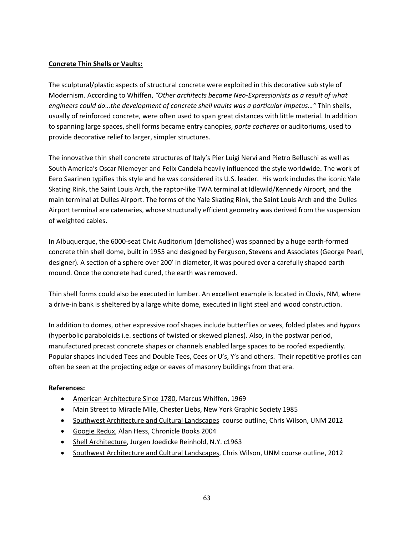### **Concrete Thin Shells or Vaults:**

The sculptural/plastic aspects of structural concrete were exploited in this decorative sub style of Modernism. According to Whiffen, *"Other architects became Neo-Expressionists as a result of what engineers could do…the development of concrete shell vaults was a particular impetus…"* Thin shells, usually of reinforced concrete, were often used to span great distances with little material. In addition to spanning large spaces, shell forms became entry canopies, *porte cocheres* or auditoriums, used to provide decorative relief to larger, simpler structures.

The innovative thin shell concrete structures of Italy's Pier Luigi Nervi and Pietro Belluschi as well as South America's Oscar Niemeyer and Felix Candela heavily influenced the style worldwide. The work of Eero Saarinen typifies this style and he was considered its U.S. leader. His work includes the iconic Yale Skating Rink, the Saint Louis Arch, the raptor-like TWA terminal at Idlewild/Kennedy Airport, and the main terminal at Dulles Airport. The forms of the Yale Skating Rink, the Saint Louis Arch and the Dulles Airport terminal are catenaries, whose structurally efficient geometry was derived from the suspension of weighted cables.

In Albuquerque, the 6000-seat Civic Auditorium (demolished) was spanned by a huge earth-formed concrete thin shell dome, built in 1955 and designed by Ferguson, Stevens and Associates (George Pearl, designer). A section of a sphere over 200' in diameter, it was poured over a carefully shaped earth mound. Once the concrete had cured, the earth was removed.

Thin shell forms could also be executed in lumber. An excellent example is located in Clovis, NM, where a drive-in bank is sheltered by a large white dome, executed in light steel and wood construction.

In addition to domes, other expressive roof shapes include butterflies or vees, folded plates and *hypars* (hyperbolic paraboloids i.e. sections of twisted or skewed planes). Also, in the postwar period, manufactured precast concrete shapes or channels enabled large spaces to be roofed expediently. Popular shapes included Tees and Double Tees, Cees or U's, Y's and others. Their repetitive profiles can often be seen at the projecting edge or eaves of masonry buildings from that era.

- American Architecture Since 1780, Marcus Whiffen, 1969
- Main Street to Miracle Mile, Chester Liebs, New York Graphic Society 1985
- · Southwest Architecture and Cultural Landscapescourse outline, Chris Wilson, UNM 2012
- · Googie Redux, Alan Hess, Chronicle Books 2004
- Shell Architecture, Jurgen Joedicke Reinhold, N.Y. c1963
- · Southwest Architecture and Cultural Landscapes, Chris Wilson, UNM course outline, 2012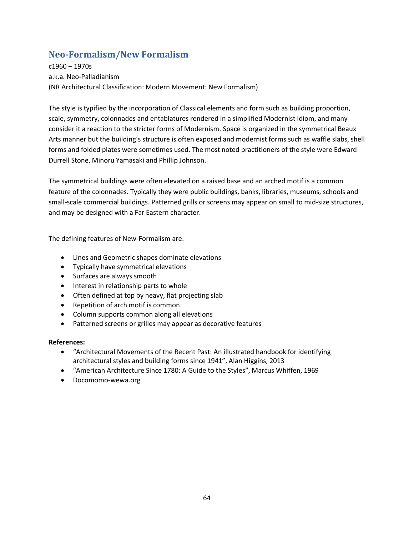# **Neo-Formalism/New Formalism**

c1960 – 1970s a.k.a. Neo-Palladianism (NR Architectural Classification: Modern Movement: New Formalism)

The style is typified by the incorporation of Classical elements and form such as building proportion, scale, symmetry, colonnades and entablatures rendered in a simplified Modernist idiom, and many consider it a reaction to the stricter forms of Modernism. Space is organized in the symmetrical Beaux Arts manner but the building's structure is often exposed and modernist forms such as waffle slabs, shell forms and folded plates were sometimes used. The most noted practitioners of the style were Edward Durrell Stone, Minoru Yamasaki and Phillip Johnson.

The symmetrical buildings were often elevated on a raised base and an arched motif is a common feature of the colonnades. Typically they were public buildings, banks, libraries, museums, schools and small-scale commercial buildings. Patterned grills or screens may appear on small to mid-size structures, and may be designed with a Far Eastern character.

The defining features of New-Formalism are:

- · Lines and Geometric shapes dominate elevations
- · Typically have symmetrical elevations
- · Surfaces are always smooth
- · Interest in relationship parts to whole
- · Often defined at top by heavy, flat projecting slab
- · Repetition of arch motif is common
- · Column supports common along all elevations
- · Patterned screens or grilles may appear as decorative features

- · "Architectural Movements of the Recent Past: An illustrated handbook for identifying architectural styles and building forms since 1941", Alan Higgins, 2013
- · "American Architecture Since 1780: A Guide to the Styles", Marcus Whiffen, 1969
- · Docomomo-wewa.org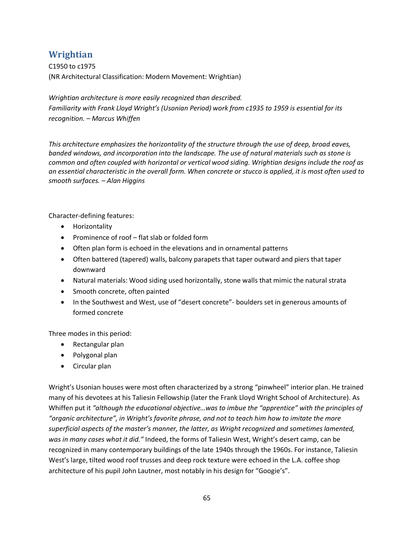# **Wrightian**

C1950 to c1975 (NR Architectural Classification: Modern Movement: Wrightian)

*Wrightian architecture is more easily recognized than described. Familiarity with Frank Lloyd Wright's (Usonian Period) work from c1935 to 1959 is essential for its recognition. – Marcus Whiffen*

*This architecture emphasizes the horizontality of the structure through the use of deep, broad eaves, banded windows, and incorporation into the landscape. The use of natural materials such as stone is common and often coupled with horizontal or vertical wood siding. Wrightian designs include the roof as an essential characteristic in the overall form. When concrete or stucco is applied, it is most often used to smooth surfaces. – Alan Higgins*

Character-defining features:

- · Horizontality
- · Prominence of roof flat slab or folded form
- · Often plan form is echoed in the elevations and in ornamental patterns
- · Often battered (tapered) walls, balcony parapets that taper outward and piers that taper downward
- · Natural materials: Wood siding used horizontally, stone walls that mimic the natural strata
- · Smooth concrete, often painted
- · In the Southwest and West, use of "desert concrete"- boulders set in generous amounts of formed concrete

Three modes in this period:

- · Rectangular plan
- · Polygonal plan
- · Circular plan

Wright's Usonian houses were most often characterized by a strong "pinwheel" interior plan. He trained many of his devotees at his Taliesin Fellowship (later the Frank Lloyd Wright School of Architecture). As Whiffen put it *"although the educational objective…was to imbue the "apprentice" with the principles of "organic architecture", in Wright's favorite phrase, and not to teach him how to imitate the more superficial aspects of the master's manner, the latter, as Wright recognized and sometimes lamented, was in many cases what it did."* Indeed, the forms of Taliesin West, Wright's desert camp, can be recognized in many contemporary buildings of the late 1940s through the 1960s. For instance, Taliesin West's large, tilted wood roof trusses and deep rock texture were echoed in the L.A. coffee shop architecture of his pupil John Lautner, most notably in his design for "Googie's".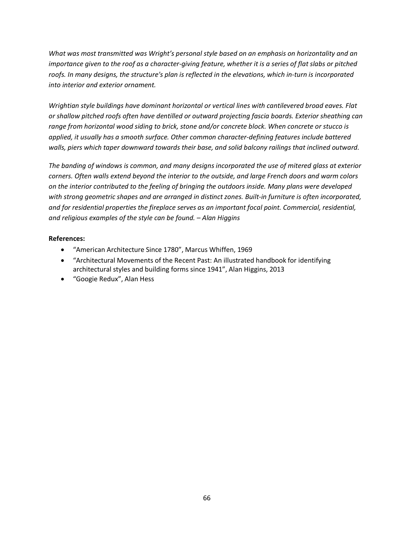*What was most transmitted was Wright's personal style based on an emphasis on horizontality and an importance given to the roof as a character-giving feature, whether it is a series of flat slabs or pitched roofs. In many designs, the structure's plan is reflected in the elevations, which in-turn is incorporated into interior and exterior ornament.*

*Wrightian style buildings have dominant horizontal or vertical lines with cantilevered broad eaves. Flat or shallow pitched roofs often have dentilled or outward projecting fascia boards. Exterior sheathing can range from horizontal wood siding to brick, stone and/or concrete block. When concrete or stucco is applied, it usually has a smooth surface. Other common character-defining features include battered walls, piers which taper downward towards their base, and solid balcony railings that inclined outward.*

*The banding of windows is common, and many designs incorporated the use of mitered glass at exterior corners. Often walls extend beyond the interior to the outside, and large French doors and warm colors on the interior contributed to the feeling of bringing the outdoors inside. Many plans were developed with strong geometric shapes and are arranged in distinct zones. Built-in furniture is often incorporated, and for residential properties the fireplace serves as an important focal point. Commercial, residential, and religious examples of the style can be found. – Alan Higgins*

- · "American Architecture Since 1780", Marcus Whiffen, 1969
- · "Architectural Movements of the Recent Past: An illustrated handbook for identifying architectural styles and building forms since 1941", Alan Higgins, 2013
- · "Googie Redux", Alan Hess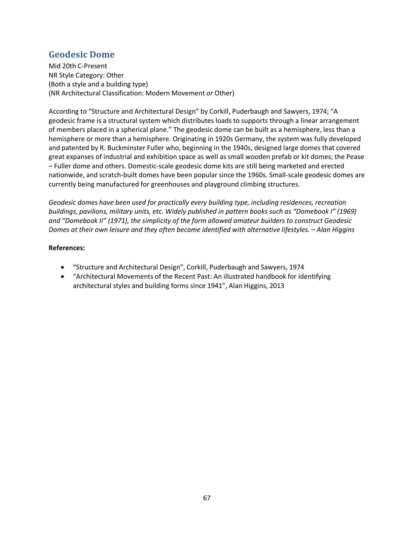# **Geodesic Dome**

Mid 20th C-Present NR Style Category: Other (Both a style and a building type) (NR Architectural Classification: Modern Movement *or* Other)

According to "Structure and Architectural Design" by Corkill, Puderbaugh and Sawyers, 1974; "A geodesic frame is a structural system which distributes loads to supports through a linear arrangement of members placed in a spherical plane." The geodesic dome can be built as a hemisphere, less than a hemisphere or more than a hemisphere. Originating in 1920s Germany, the system was fully developed and patented by R. Buckminster Fuller who, beginning in the 1940s, designed large domes that covered great expanses of industrial and exhibition space as well as small wooden prefab or kit domes; the Pease – Fuller dome and others. Domestic-scale geodesic dome kits are still being marketed and erected nationwide, and scratch-built domes have been popular since the 1960s. Small-scale geodesic domes are currently being manufactured for greenhouses and playground climbing structures.

*Geodesic domes have been used for practically every building type, including residences, recreation buildings, pavilions, military units, etc. Widely published in pattern books such as "Domebook I" (1969) and "Domebook II" (1971), the simplicity of the form allowed amateur builders to construct Geodesic Domes at their own leisure and they often became identified with alternative lifestyles. – Alan Higgins*

- · "Structure and Architectural Design", Corkill, Puderbaugh and Sawyers, 1974
- · "Architectural Movements of the Recent Past: An illustrated handbook for identifying architectural styles and building forms since 1941", Alan Higgins, 2013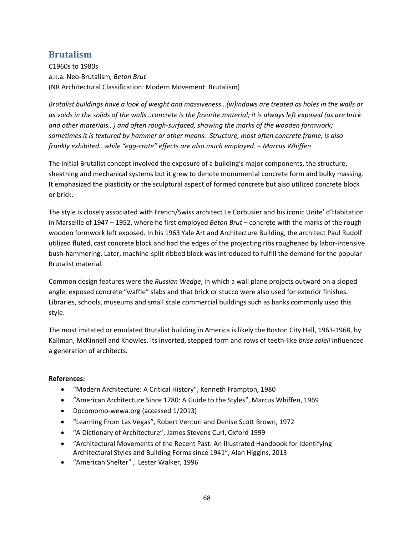# **Brutalism**

C1960s to 1980s a.k.a. Neo-Brutalism, *Beton Brut* (NR Architectural Classification: Modern Movement: Brutalism)

*Brutalist buildings have a look of weight and massiveness…(w)indows are treated as holes in the walls or as voids in the solids of the walls…concrete is the favorite material; it is always left exposed (as are brick and other materials…) and often rough-surfaced, showing the marks of the wooden formwork; sometimes it is textured by hammer or other means. Structure, most often concrete frame, is also frankly exhibited…while "egg-crate" effects are also much employed. – Marcus Whiffen*

The initial Brutalist concept involved the exposure of a building's major components, the structure, sheathing and mechanical systems but it grew to denote monumental concrete form and bulky massing. It emphasized the plasticity or the sculptural aspect of formed concrete but also utilized concrete block or brick.

The style is closely associated with French/Swiss architect Le Corbusier and his iconic Unite' d'Habitation in Marseille of 1947 – 1952, where he first employed *Beton Brut* – concrete with the marks of the rough wooden formwork left exposed. In his 1963 Yale Art and Architecture Building, the architect Paul Rudolf utilized fluted, cast concrete block and had the edges of the projecting ribs roughened by labor-intensive bush-hammering. Later, machine-split ribbed block was introduced to fulfill the demand for the popular Brutalist material.

Common design features were the *Russian Wedge*, in which a wall plane projects outward on a sloped angle; exposed concrete "waffle" slabs and that brick or stucco were also used for exterior finishes. Libraries, schools, museums and small scale commercial buildings such as banks commonly used this style.

The most imitated or emulated Brutalist building in America is likely the Boston City Hall, 1963-1968, by Kallman, McKinnell and Knowles. Its inverted, stepped form and rows of teeth-like *brise soleil* influenced a generation of architects.

- · "Modern Architecture: A Critical History", Kenneth Frampton, 1980
- · "American Architecture Since 1780: A Guide to the Styles", Marcus Whiffen, 1969
- · Docomomo-wewa.org (accessed 1/2013)
- · "Learning From Las Vegas", Robert Venturi and Denise Scott Brown, 1972
- · "A Dictionary of Architecture", James Stevens Curl, Oxford 1999
- · "Architectural Movements of the Recent Past: An Illustrated Handbook for Identifying Architectural Styles and Building Forms since 1941", Alan Higgins, 2013
- · "American Shelter" , Lester Walker, 1996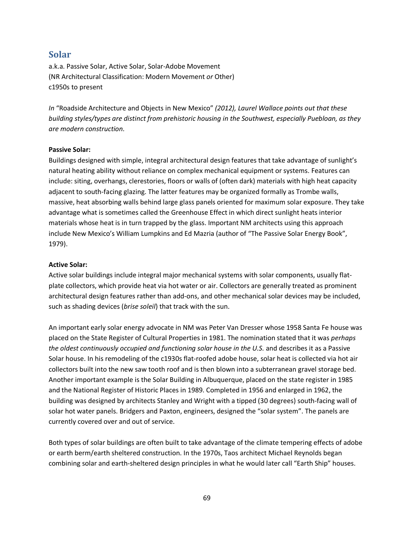## **Solar**

a.k.a. Passive Solar, Active Solar, Solar-Adobe Movement (NR Architectural Classification: Modern Movement *or* Other) c1950s to present

*In* "Roadside Architecture and Objects in New Mexico" *(2012), Laurel Wallace points out that these building styles/types are distinct from prehistoric housing in the Southwest, especially Puebloan, as they are modern construction.* 

#### **Passive Solar:**

Buildings designed with simple, integral architectural design features that take advantage of sunlight's natural heating ability without reliance on complex mechanical equipment or systems. Features can include: siting, overhangs, clerestories, floors or walls of (often dark) materials with high heat capacity adjacent to south-facing glazing. The latter features may be organized formally as Trombe walls, massive, heat absorbing walls behind large glass panels oriented for maximum solar exposure. They take advantage what is sometimes called the Greenhouse Effect in which direct sunlight heats interior materials whose heat is in turn trapped by the glass. Important NM architects using this approach include New Mexico's William Lumpkins and Ed Mazria (author of "The Passive Solar Energy Book", 1979).

#### **Active Solar:**

Active solar buildings include integral major mechanical systems with solar components, usually flatplate collectors, which provide heat via hot water or air. Collectors are generally treated as prominent architectural design features rather than add-ons, and other mechanical solar devices may be included, such as shading devices (*brise soleil*) that track with the sun.

An important early solar energy advocate in NM was Peter Van Dresser whose 1958 Santa Fe house was placed on the State Register of Cultural Properties in 1981. The nomination stated that it was *perhaps the oldest continuously occupied and functioning solar house in the U.S.* and describes it as a Passive Solar house. In his remodeling of the c1930s flat-roofed adobe house, solar heat is collected via hot air collectors built into the new saw tooth roof and is then blown into a subterranean gravel storage bed. Another important example is the Solar Building in Albuquerque, placed on the state register in 1985 and the National Register of Historic Places in 1989. Completed in 1956 and enlarged in 1962, the building was designed by architects Stanley and Wright with a tipped (30 degrees) south-facing wall of solar hot water panels. Bridgers and Paxton, engineers, designed the "solar system". The panels are currently covered over and out of service.

Both types of solar buildings are often built to take advantage of the climate tempering effects of adobe or earth berm/earth sheltered construction. In the 1970s, Taos architect Michael Reynolds began combining solar and earth-sheltered design principles in what he would later call "Earth Ship" houses.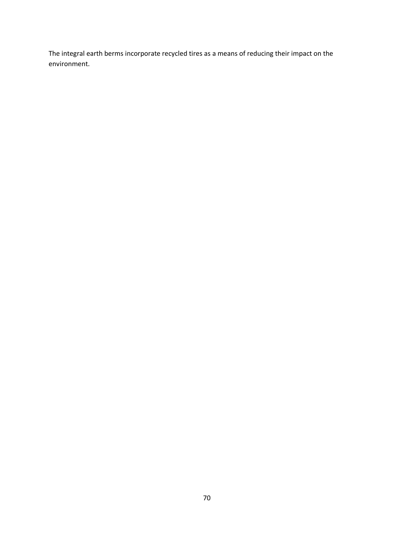The integral earth berms incorporate recycled tires as a means of reducing their impact on the environment.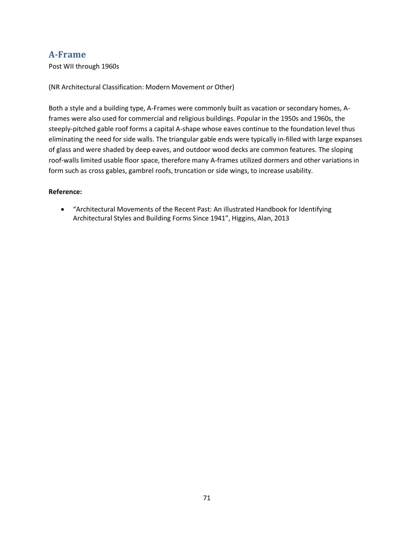## **A-Frame**

Post WII through 1960s

(NR Architectural Classification: Modern Movement *or* Other)

Both a style and a building type, A-Frames were commonly built as vacation or secondary homes, Aframes were also used for commercial and religious buildings. Popular in the 1950s and 1960s, the steeply-pitched gable roof forms a capital A-shape whose eaves continue to the foundation level thus eliminating the need for side walls. The triangular gable ends were typically in-filled with large expanses of glass and were shaded by deep eaves, and outdoor wood decks are common features. The sloping roof-walls limited usable floor space, therefore many A-frames utilized dormers and other variations in form such as cross gables, gambrel roofs, truncation or side wings, to increase usability.

#### **Reference:**

· "Architectural Movements of the Recent Past: An illustrated Handbook for Identifying Architectural Styles and Building Forms Since 1941", Higgins, Alan, 2013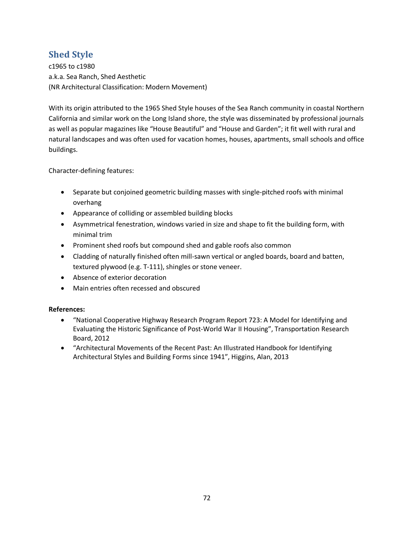# **Shed Style**

c1965 to c1980 a.k.a. Sea Ranch, Shed Aesthetic (NR Architectural Classification: Modern Movement)

With its origin attributed to the 1965 Shed Style houses of the Sea Ranch community in coastal Northern California and similar work on the Long Island shore, the style was disseminated by professional journals as well as popular magazines like "House Beautiful" and "House and Garden"; it fit well with rural and natural landscapes and was often used for vacation homes, houses, apartments, small schools and office buildings.

Character-defining features:

- · Separate but conjoined geometric building masses with single-pitched roofs with minimal overhang
- · Appearance of colliding or assembled building blocks
- · Asymmetrical fenestration, windows varied in size and shape to fit the building form, with minimal trim
- · Prominent shed roofs but compound shed and gable roofs also common
- · Cladding of naturally finished often mill-sawn vertical or angled boards, board and batten, textured plywood (e.g. T-111), shingles or stone veneer.
- · Absence of exterior decoration
- Main entries often recessed and obscured

- · "National Cooperative Highway Research Program Report 723: A Model for Identifying and Evaluating the Historic Significance of Post-World War II Housing", Transportation Research Board, 2012
- · "Architectural Movements of the Recent Past: An Illustrated Handbook for Identifying Architectural Styles and Building Forms since 1941", Higgins, Alan, 2013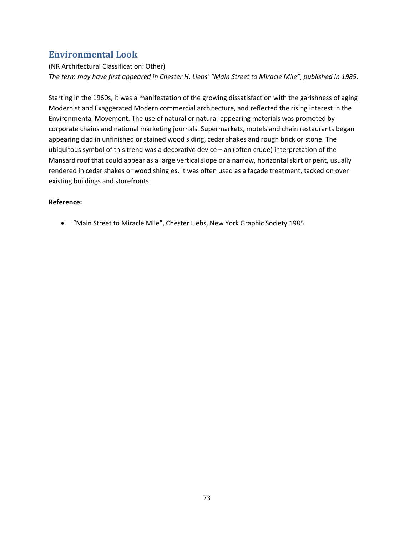## **Environmental Look**

### (NR Architectural Classification: Other) *The term may have first appeared in Chester H. Liebs' "Main Street to Miracle Mile", published in 1985*.

Starting in the 1960s, it was a manifestation of the growing dissatisfaction with the garishness of aging Modernist and Exaggerated Modern commercial architecture, and reflected the rising interest in the Environmental Movement. The use of natural or natural-appearing materials was promoted by corporate chains and national marketing journals. Supermarkets, motels and chain restaurants began appearing clad in unfinished or stained wood siding, cedar shakes and rough brick or stone. The ubiquitous symbol of this trend was a decorative device – an (often crude) interpretation of the Mansard roof that could appear as a large vertical slope or a narrow, horizontal skirt or pent, usually rendered in cedar shakes or wood shingles. It was often used as a façade treatment, tacked on over existing buildings and storefronts.

#### **Reference:**

· "Main Street to Miracle Mile", Chester Liebs, New York Graphic Society 1985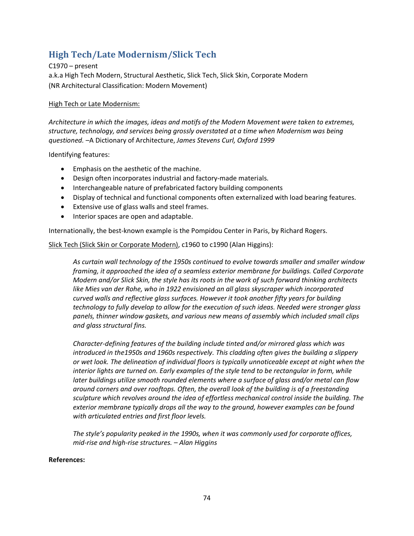# **High Tech/Late Modernism/Slick Tech**

C1970 – present a.k.a High Tech Modern, Structural Aesthetic, Slick Tech, Slick Skin, Corporate Modern (NR Architectural Classification: Modern Movement)

#### High Tech or Late Modernism:

*Architecture in which the images, ideas and motifs of the Modern Movement were taken to extremes, structure, technology, and services being grossly overstated at a time when Modernism was being questioned.* –A Dictionary of Architecture, *James Stevens Curl, Oxford 1999*

Identifying features:

- · Emphasis on the aesthetic of the machine.
- · Design often incorporates industrial and factory-made materials.
- · Interchangeable nature of prefabricated factory building components
- · Display of technical and functional components often externalized with load bearing features.
- · Extensive use of glass walls and steel frames.
- · Interior spaces are open and adaptable.

Internationally, the best-known example is the Pompidou Center in Paris, by Richard Rogers.

Slick Tech (Slick Skin or Corporate Modern), c1960 to c1990 (Alan Higgins):

*As curtain wall technology of the 1950s continued to evolve towards smaller and smaller window framing, it approached the idea of a seamless exterior membrane for buildings. Called Corporate Modern and/or Slick Skin, the style has its roots in the work of such forward thinking architects like Mies van der Rohe, who in 1922 envisioned an all glass skyscraper which incorporated curved walls and reflective glass surfaces. However it took another fifty years for building technology to fully develop to allow for the execution of such ideas. Needed were stronger glass panels, thinner window gaskets, and various new means of assembly which included small clips and glass structural fins.* 

*Character-defining features of the building include tinted and/or mirrored glass which was introduced in the1950s and 1960s respectively. This cladding often gives the building a slippery or wet look. The delineation of individual floors is typically unnoticeable except at night when the interior lights are turned on. Early examples of the style tend to be rectangular in form, while later buildings utilize smooth rounded elements where a surface of glass and/or metal can flow around corners and over rooftops. Often, the overall look of the building is of a freestanding sculpture which revolves around the idea of effortless mechanical control inside the building. The exterior membrane typically drops all the way to the ground, however examples can be found with articulated entries and first floor levels.* 

*The style's popularity peaked in the 1990s, when it was commonly used for corporate offices, mid-rise and high-rise structures. – Alan Higgins*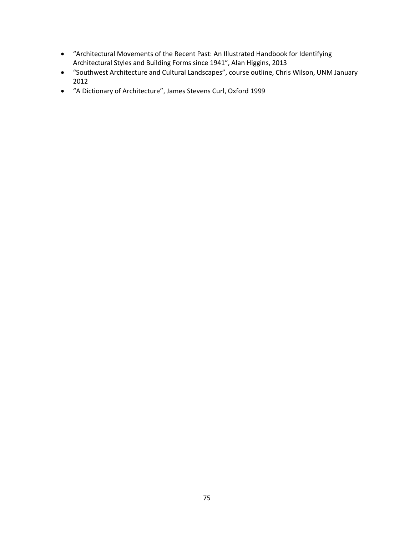- · "Architectural Movements of the Recent Past: An Illustrated Handbook for Identifying Architectural Styles and Building Forms since 1941", Alan Higgins, 2013
- · "Southwest Architecture and Cultural Landscapes", course outline, Chris Wilson, UNM January 2012
- · "A Dictionary of Architecture", James Stevens Curl, Oxford 1999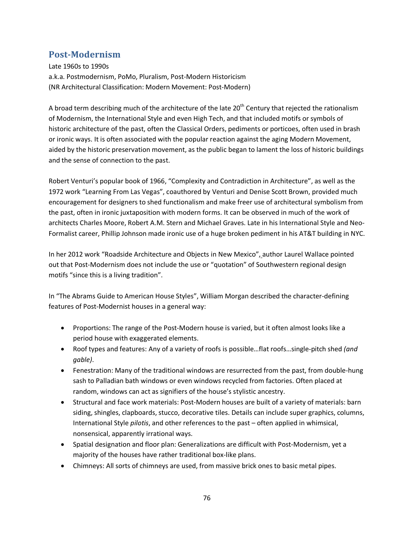## **Post-Modernism**

Late 1960s to 1990s a.k.a. Postmodernism, PoMo, Pluralism, Post-Modern Historicism (NR Architectural Classification: Modern Movement: Post-Modern)

A broad term describing much of the architecture of the late  $20<sup>th</sup>$  Century that rejected the rationalism of Modernism, the International Style and even High Tech, and that included motifs or symbols of historic architecture of the past, often the Classical Orders, pediments or porticoes, often used in brash or ironic ways. It is often associated with the popular reaction against the aging Modern Movement, aided by the historic preservation movement, as the public began to lament the loss of historic buildings and the sense of connection to the past.

Robert Venturi's popular book of 1966, "Complexity and Contradiction in Architecture", as well as the 1972 work "Learning From Las Vegas", coauthored by Venturi and Denise Scott Brown, provided much encouragement for designers to shed functionalism and make freer use of architectural symbolism from the past, often in ironic juxtaposition with modern forms. It can be observed in much of the work of architects Charles Moore, Robert A.M. Stern and Michael Graves. Late in his International Style and Neo-Formalist career, Phillip Johnson made ironic use of a huge broken pediment in his AT&T building in NYC.

In her 2012 work "Roadside Architecture and Objects in New Mexico", author Laurel Wallace pointed out that Post-Modernism does not include the use or "quotation" of Southwestern regional design motifs "since this is a living tradition".

In "The Abrams Guide to American House Styles", William Morgan described the character-defining features of Post-Modernist houses in a general way:

- · Proportions: The range of the Post-Modern house is varied, but it often almost looks like a period house with exaggerated elements.
- · Roof types and features: Any of a variety of roofs is possible…flat roofs…single-pitch shed *(and gable)*.
- · Fenestration: Many of the traditional windows are resurrected from the past, from double-hung sash to Palladian bath windows or even windows recycled from factories. Often placed at random, windows can act as signifiers of the house's stylistic ancestry.
- · Structural and face work materials: Post-Modern houses are built of a variety of materials: barn siding, shingles, clapboards, stucco, decorative tiles. Details can include super graphics, columns, International Style *pilotis*, and other references to the past – often applied in whimsical, nonsensical, apparently irrational ways.
- · Spatial designation and floor plan: Generalizations are difficult with Post-Modernism, yet a majority of the houses have rather traditional box-like plans.
- · Chimneys: All sorts of chimneys are used, from massive brick ones to basic metal pipes.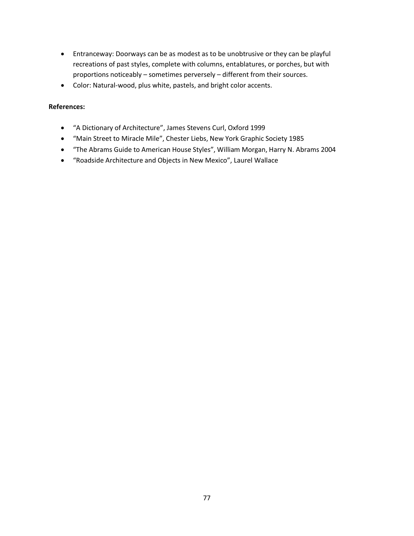- · Entranceway: Doorways can be as modest as to be unobtrusive or they can be playful recreations of past styles, complete with columns, entablatures, or porches, but with proportions noticeably – sometimes perversely – different from their sources.
- · Color: Natural-wood, plus white, pastels, and bright color accents.

- · "A Dictionary of Architecture", James Stevens Curl, Oxford 1999
- · "Main Street to Miracle Mile", Chester Liebs, New York Graphic Society 1985
- · "The Abrams Guide to American House Styles", William Morgan, Harry N. Abrams 2004
- · "Roadside Architecture and Objects in New Mexico", Laurel Wallace